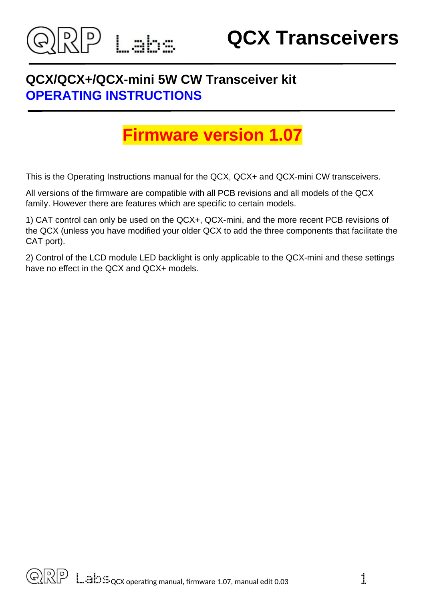

## **QCX/QCX+/QCX-mini 5W CW Transceiver kit OPERATING INSTRUCTIONS**

# **Firmware version 1.07**

This is the Operating Instructions manual for the QCX, QCX+ and QCX-mini CW transceivers.

All versions of the firmware are compatible with all PCB revisions and all models of the QCX family. However there are features which are specific to certain models.

1) CAT control can only be used on the QCX+, QCX-mini, and the more recent PCB revisions of the QCX (unless you have modified your older QCX to add the three components that facilitate the CAT port).

2) Control of the LCD module LED backlight is only applicable to the QCX-mini and these settings have no effect in the QCX and QCX+ models.

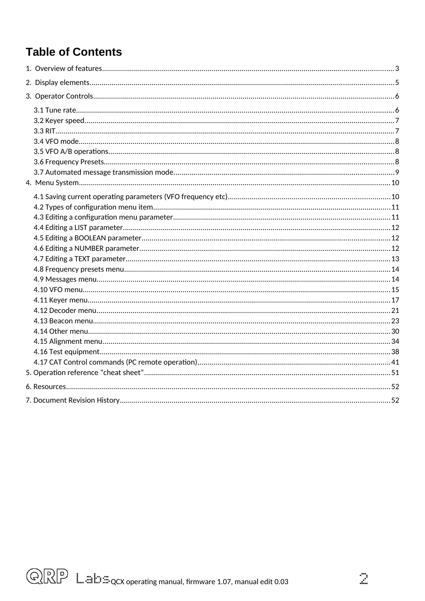## **Table of Contents**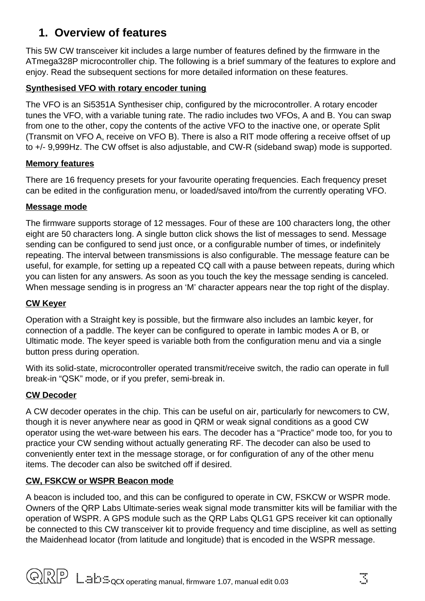## <span id="page-2-0"></span>**1. Overview of features**

This 5W CW transceiver kit includes a large number of features defined by the firmware in the ATmega328P microcontroller chip. The following is a brief summary of the features to explore and enjoy. Read the subsequent sections for more detailed information on these features.

#### **Synthesised VFO with rotary encoder tuning**

The VFO is an Si5351A Synthesiser chip, configured by the microcontroller. A rotary encoder tunes the VFO, with a variable tuning rate. The radio includes two VFOs, A and B. You can swap from one to the other, copy the contents of the active VFO to the inactive one, or operate Split (Transmit on VFO A, receive on VFO B). There is also a RIT mode offering a receive offset of up to +/- 9,999Hz. The CW offset is also adjustable, and CW-R (sideband swap) mode is supported.

#### **Memory features**

There are 16 frequency presets for your favourite operating frequencies. Each frequency preset can be edited in the configuration menu, or loaded/saved into/from the currently operating VFO.

#### **Message mode**

The firmware supports storage of 12 messages. Four of these are 100 characters long, the other eight are 50 characters long. A single button click shows the list of messages to send. Message sending can be configured to send just once, or a configurable number of times, or indefinitely repeating. The interval between transmissions is also configurable. The message feature can be useful, for example, for setting up a repeated CQ call with a pause between repeats, during which you can listen for any answers. As soon as you touch the key the message sending is canceled. When message sending is in progress an 'M' character appears near the top right of the display.

#### **CW Keyer**

Operation with a Straight key is possible, but the firmware also includes an Iambic keyer, for connection of a paddle. The keyer can be configured to operate in Iambic modes A or B, or Ultimatic mode. The keyer speed is variable both from the configuration menu and via a single button press during operation.

With its solid-state, microcontroller operated transmit/receive switch, the radio can operate in full break-in "QSK" mode, or if you prefer, semi-break in.

#### **CW Decoder**

A CW decoder operates in the chip. This can be useful on air, particularly for newcomers to CW, though it is never anywhere near as good in QRM or weak signal conditions as a good CW operator using the wet-ware between his ears. The decoder has a "Practice" mode too, for you to practice your CW sending without actually generating RF. The decoder can also be used to conveniently enter text in the message storage, or for configuration of any of the other menu items. The decoder can also be switched off if desired.

#### **CW, FSKCW or WSPR Beacon mode**

A beacon is included too, and this can be configured to operate in CW, FSKCW or WSPR mode. Owners of the QRP Labs Ultimate-series weak signal mode transmitter kits will be familiar with the operation of WSPR. A GPS module such as the QRP Labs QLG1 GPS receiver kit can optionally be connected to this CW transceiver kit to provide frequency and time discipline, as well as setting the Maidenhead locator (from latitude and longitude) that is encoded in the WSPR message.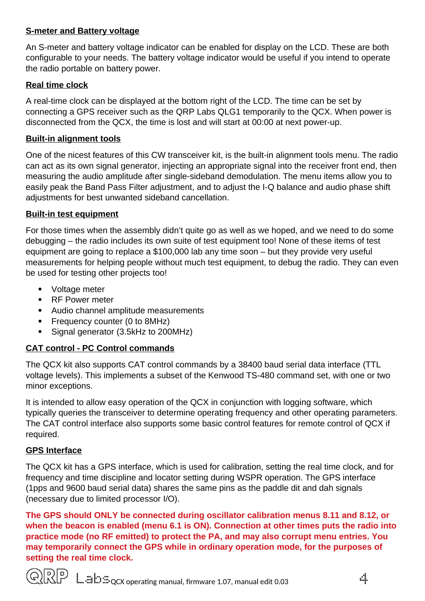#### **S-meter and Battery voltage**

An S-meter and battery voltage indicator can be enabled for display on the LCD. These are both configurable to your needs. The battery voltage indicator would be useful if you intend to operate the radio portable on battery power.

#### **Real time clock**

A real-time clock can be displayed at the bottom right of the LCD. The time can be set by connecting a GPS receiver such as the QRP Labs QLG1 temporarily to the QCX. When power is disconnected from the QCX, the time is lost and will start at 00:00 at next power-up.

#### **Built-in alignment tools**

One of the nicest features of this CW transceiver kit, is the built-in alignment tools menu. The radio can act as its own signal generator, injecting an appropriate signal into the receiver front end, then measuring the audio amplitude after single-sideband demodulation. The menu items allow you to easily peak the Band Pass Filter adjustment, and to adjust the I-Q balance and audio phase shift adjustments for best unwanted sideband cancellation.

#### **Built-in test equipment**

For those times when the assembly didn't quite go as well as we hoped, and we need to do some debugging – the radio includes its own suite of test equipment too! None of these items of test equipment are going to replace a \$100,000 lab any time soon – but they provide very useful measurements for helping people without much test equipment, to debug the radio. They can even be used for testing other projects too!

- Voltage meter
- RF Power meter
- Audio channel amplitude measurements
- Frequency counter (0 to 8MHz)
- Signal generator (3.5kHz to 200MHz)

#### **CAT control - PC Control commands**

The QCX kit also supports CAT control commands by a 38400 baud serial data interface (TTL voltage levels). This implements a subset of the Kenwood TS-480 command set, with one or two minor exceptions.

It is intended to allow easy operation of the QCX in conjunction with logging software, which typically queries the transceiver to determine operating frequency and other operating parameters. The CAT control interface also supports some basic control features for remote control of QCX if required.

#### **GPS Interface**

The QCX kit has a GPS interface, which is used for calibration, setting the real time clock, and for frequency and time discipline and locator setting during WSPR operation. The GPS interface (1pps and 9600 baud serial data) shares the same pins as the paddle dit and dah signals (necessary due to limited processor I/O).

**The GPS should ONLY be connected during oscillator calibration menus 8.11 and 8.12, or when the beacon is enabled (menu 6.1 is ON). Connection at other times puts the radio into practice mode (no RF emitted) to protect the PA, and may also corrupt menu entries. You may temporarily connect the GPS while in ordinary operation mode, for the purposes of setting the real time clock.**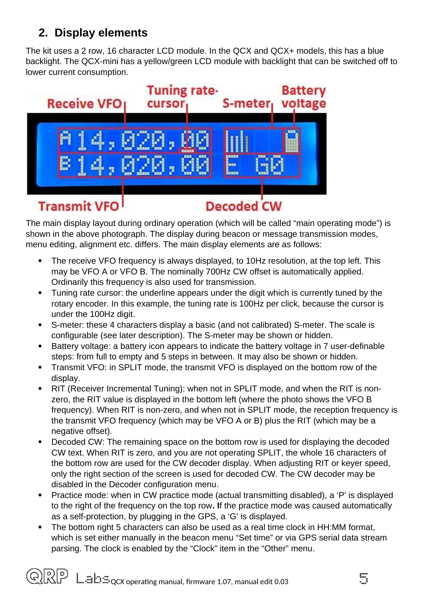## <span id="page-4-0"></span>**2. Display elements**

The kit uses a 2 row, 16 character LCD module. In the QCX and QCX+ models, this has a blue backlight. The QCX-mini has a yellow/green LCD module with backlight that can be switched off to lower current consumption.



The main display layout during ordinary operation (which will be called "main operating mode") is shown in the above photograph. The display during beacon or message transmission modes, menu editing, alignment etc. differs. The main display elements are as follows:

- The receive VFO frequency is always displayed, to 10Hz resolution, at the top left. This may be VFO A or VFO B. The nominally 700Hz CW offset is automatically applied. Ordinarily this frequency is also used for transmission.
- Tuning rate cursor: the underline appears under the digit which is currently tuned by the rotary encoder. In this example, the tuning rate is 100Hz per click, because the cursor is under the 100Hz digit.
- S-meter: these 4 characters display a basic (and not calibrated) S-meter. The scale is configurable (see later description). The S-meter may be shown or hidden.
- Battery voltage: a battery icon appears to indicate the battery voltage in 7 user-definable steps: from full to empty and 5 steps in between. It may also be shown or hidden.
- Transmit VFO: in SPLIT mode, the transmit VFO is displayed on the bottom row of the display.
- RIT (Receiver Incremental Tuning): when not in SPLIT mode, and when the RIT is nonzero, the RIT value is displayed in the bottom left (where the photo shows the VFO B frequency). When RIT is non-zero, and when not in SPLIT mode, the reception frequency is the transmit VFO frequency (which may be VFO A or B) plus the RIT (which may be a negative offset).
- Decoded CW: The remaining space on the bottom row is used for displaying the decoded CW text. When RIT is zero, and you are not operating SPLIT, the whole 16 characters of the bottom row are used for the CW decoder display. When adjusting RIT or keyer speed, only the right section of the screen is used for decoded CW. The CW decoder may be disabled in the Decoder configuration menu.
- Practice mode: when in CW practice mode (actual transmitting disabled), a 'P' is displayed to the right of the frequency on the top row**. I**f the practice mode was caused automatically as a self-protection, by plugging in the GPS, a 'G' is displayed.
- The bottom right 5 characters can also be used as a real time clock in HH:MM format, which is set either manually in the beacon menu "Set time" or via GPS serial data stream parsing. The clock is enabled by the "Clock" item in the "Other" menu.

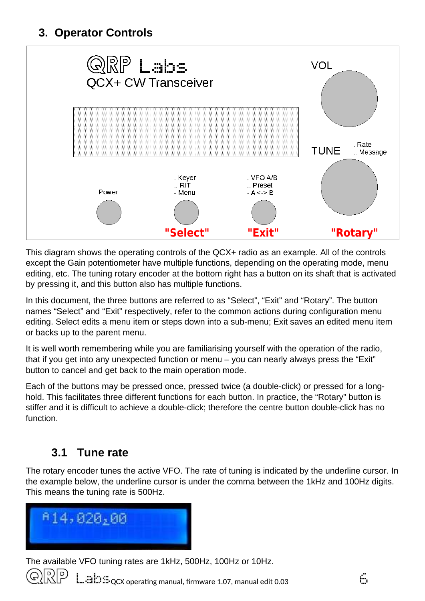## <span id="page-5-1"></span>**3. Operator Controls**



This diagram shows the operating controls of the QCX+ radio as an example. All of the controls except the Gain potentiometer have multiple functions, depending on the operating mode, menu editing, etc. The tuning rotary encoder at the bottom right has a button on its shaft that is activated by pressing it, and this button also has multiple functions.

In this document, the three buttons are referred to as "Select", "Exit" and "Rotary". The button names "Select" and "Exit" respectively, refer to the common actions during configuration menu editing. Select edits a menu item or steps down into a sub-menu; Exit saves an edited menu item or backs up to the parent menu.

It is well worth remembering while you are familiarising yourself with the operation of the radio, that if you get into any unexpected function or menu – you can nearly always press the "Exit" button to cancel and get back to the main operation mode.

Each of the buttons may be pressed once, pressed twice (a double-click) or pressed for a longhold. This facilitates three different functions for each button. In practice, the "Rotary" button is stiffer and it is difficult to achieve a double-click; therefore the centre button double-click has no function.

## <span id="page-5-0"></span>**3.1 Tune rate**

The rotary encoder tunes the active VFO. The rate of tuning is indicated by the underline cursor. In the example below, the underline cursor is under the comma between the 1kHz and 100Hz digits. This means the tuning rate is 500Hz.



The available VFO tuning rates are 1kHz, 500Hz, 100Hz or 10Hz.

 $\sin\theta \approx 0.03$  operating manual, firmware 1.07, manual edit 0.03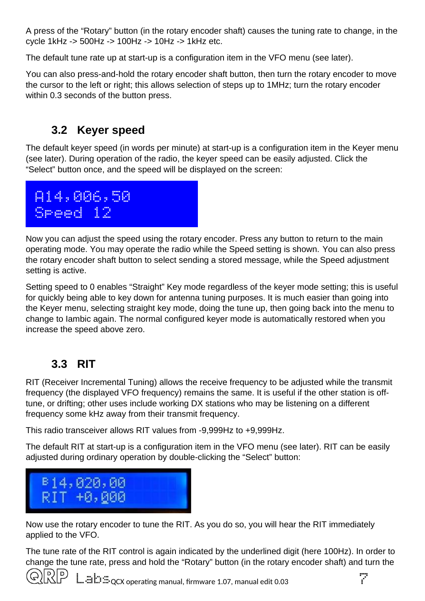A press of the "Rotary" button (in the rotary encoder shaft) causes the tuning rate to change, in the cycle 1kHz -> 500Hz -> 100Hz -> 10Hz -> 1kHz etc.

The default tune rate up at start-up is a configuration item in the VFO menu (see later).

You can also press-and-hold the rotary encoder shaft button, then turn the rotary encoder to move the cursor to the left or right; this allows selection of steps up to 1MHz; turn the rotary encoder within 0.3 seconds of the button press.

### <span id="page-6-1"></span>**3.2 Keyer speed**

The default keyer speed (in words per minute) at start-up is a configuration item in the Keyer menu (see later). During operation of the radio, the keyer speed can be easily adjusted. Click the "Select" button once, and the speed will be displayed on the screen:



Now you can adjust the speed using the rotary encoder. Press any button to return to the main operating mode. You may operate the radio while the Speed setting is shown. You can also press the rotary encoder shaft button to select sending a stored message, while the Speed adjustment setting is active.

Setting speed to 0 enables "Straight" Key mode regardless of the keyer mode setting; this is useful for quickly being able to key down for antenna tuning purposes. It is much easier than going into the Keyer menu, selecting straight key mode, doing the tune up, then going back into the menu to change to Iambic again. The normal configured keyer mode is automatically restored when you increase the speed above zero.

## <span id="page-6-0"></span>**3.3 RIT**

RIT (Receiver Incremental Tuning) allows the receive frequency to be adjusted while the transmit frequency (the displayed VFO frequency) remains the same. It is useful if the other station is offtune, or drifting; other uses include working DX stations who may be listening on a different frequency some kHz away from their transmit frequency.

This radio transceiver allows RIT values from -9,999Hz to +9,999Hz.

The default RIT at start-up is a configuration item in the VFO menu (see later). RIT can be easily adjusted during ordinary operation by double-clicking the "Select" button:



Now use the rotary encoder to tune the RIT. As you do so, you will hear the RIT immediately applied to the VFO.

The tune rate of the RIT control is again indicated by the underlined digit (here 100Hz). In order to change the tune rate, press and hold the "Rotary" button (in the rotary encoder shaft) and turn the

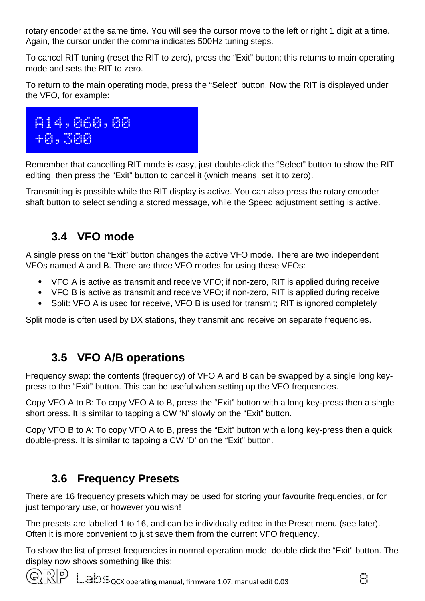rotary encoder at the same time. You will see the cursor move to the left or right 1 digit at a time. Again, the cursor under the comma indicates 500Hz tuning steps.

To cancel RIT tuning (reset the RIT to zero), press the "Exit" button; this returns to main operating mode and sets the RIT to zero.

To return to the main operating mode, press the "Select" button. Now the RIT is displayed under the VFO, for example:



Remember that cancelling RIT mode is easy, just double-click the "Select" button to show the RIT editing, then press the "Exit" button to cancel it (which means, set it to zero).

Transmitting is possible while the RIT display is active. You can also press the rotary encoder shaft button to select sending a stored message, while the Speed adjustment setting is active.

## <span id="page-7-2"></span>**3.4 VFO mode**

A single press on the "Exit" button changes the active VFO mode. There are two independent VFOs named A and B. There are three VFO modes for using these VFOs:

- VFO A is active as transmit and receive VFO; if non-zero, RIT is applied during receive
- VFO B is active as transmit and receive VFO; if non-zero, RIT is applied during receive
- Split: VFO A is used for receive, VFO B is used for transmit; RIT is ignored completely

Split mode is often used by DX stations, they transmit and receive on separate frequencies.

## <span id="page-7-1"></span>**3.5 VFO A/B operations**

Frequency swap: the contents (frequency) of VFO A and B can be swapped by a single long keypress to the "Exit" button. This can be useful when setting up the VFO frequencies.

Copy VFO A to B: To copy VFO A to B, press the "Exit" button with a long key-press then a single short press. It is similar to tapping a CW 'N' slowly on the "Exit" button.

Copy VFO B to A: To copy VFO A to B, press the "Exit" button with a long key-press then a quick double-press. It is similar to tapping a CW 'D' on the "Exit" button.

## <span id="page-7-0"></span>**3.6 Frequency Presets**

There are 16 frequency presets which may be used for storing your favourite frequencies, or for just temporary use, or however you wish!

The presets are labelled 1 to 16, and can be individually edited in the Preset menu (see later). Often it is more convenient to just save them from the current VFO frequency.

To show the list of preset frequencies in normal operation mode, double click the "Exit" button. The display now shows something like this:

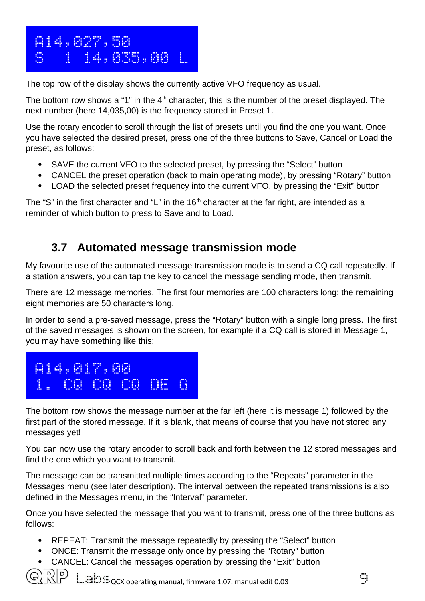

The top row of the display shows the currently active VFO frequency as usual.

The bottom row shows a "1" in the  $4<sup>th</sup>$  character, this is the number of the preset displayed. The next number (here 14,035,00) is the frequency stored in Preset 1.

Use the rotary encoder to scroll through the list of presets until you find the one you want. Once you have selected the desired preset, press one of the three buttons to Save, Cancel or Load the preset, as follows:

- SAVE the current VFO to the selected preset, by pressing the "Select" button
- CANCEL the preset operation (back to main operating mode), by pressing "Rotary" button
- LOAD the selected preset frequency into the current VFO, by pressing the "Exit" button

The "S" in the first character and "L" in the  $16<sup>th</sup>$  character at the far right, are intended as a reminder of which button to press to Save and to Load.

## <span id="page-8-0"></span>**3.7 Automated message transmission mode**

My favourite use of the automated message transmission mode is to send a CQ call repeatedly. If a station answers, you can tap the key to cancel the message sending mode, then transmit.

There are 12 message memories. The first four memories are 100 characters long; the remaining eight memories are 50 characters long.

In order to send a pre-saved message, press the "Rotary" button with a single long press. The first of the saved messages is shown on the screen, for example if a CQ call is stored in Message 1, you may have something like this:



The bottom row shows the message number at the far left (here it is message 1) followed by the first part of the stored message. If it is blank, that means of course that you have not stored any messages yet!

You can now use the rotary encoder to scroll back and forth between the 12 stored messages and find the one which you want to transmit.

The message can be transmitted multiple times according to the "Repeats" parameter in the Messages menu (see later description). The interval between the repeated transmissions is also defined in the Messages menu, in the "Interval" parameter.

Once you have selected the message that you want to transmit, press one of the three buttons as follows:

- REPEAT: Transmit the message repeatedly by pressing the "Select" button
- ONCE: Transmit the message only once by pressing the "Rotary" button
- CANCEL: Cancel the messages operation by pressing the "Exit" button

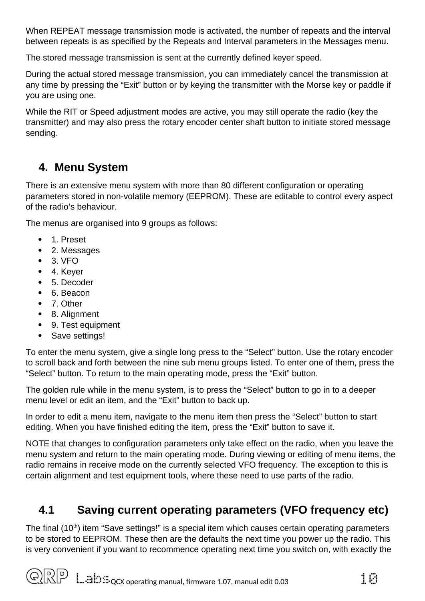When REPEAT message transmission mode is activated, the number of repeats and the interval between repeats is as specified by the Repeats and Interval parameters in the Messages menu.

The stored message transmission is sent at the currently defined keyer speed.

During the actual stored message transmission, you can immediately cancel the transmission at any time by pressing the "Exit" button or by keying the transmitter with the Morse key or paddle if you are using one.

While the RIT or Speed adjustment modes are active, you may still operate the radio (key the transmitter) and may also press the rotary encoder center shaft button to initiate stored message sending.

## <span id="page-9-1"></span>**4. Menu System**

There is an extensive menu system with more than 80 different configuration or operating parameters stored in non-volatile memory (EEPROM). These are editable to control every aspect of the radio's behaviour.

The menus are organised into 9 groups as follows:

- 1. Preset
- 2. Messages
- 3. VFO
- 4. Keyer
- 5. Decoder
- 6. Beacon
- 7. Other
- 8. Alignment
- 9. Test equipment
- Save settings!

To enter the menu system, give a single long press to the "Select" button. Use the rotary encoder to scroll back and forth between the nine sub menu groups listed. To enter one of them, press the "Select" button. To return to the main operating mode, press the "Exit" button.

The golden rule while in the menu system, is to press the "Select" button to go in to a deeper menu level or edit an item, and the "Exit" button to back up.

In order to edit a menu item, navigate to the menu item then press the "Select" button to start editing. When you have finished editing the item, press the "Exit" button to save it.

NOTE that changes to configuration parameters only take effect on the radio, when you leave the menu system and return to the main operating mode. During viewing or editing of menu items, the radio remains in receive mode on the currently selected VFO frequency. The exception to this is certain alignment and test equipment tools, where these need to use parts of the radio.

## <span id="page-9-0"></span>**4.1 Saving current operating parameters (VFO frequency etc)**

The final  $(10<sup>th</sup>)$  item "Save settings!" is a special item which causes certain operating parameters to be stored to EEPROM. These then are the defaults the next time you power up the radio. This is very convenient if you want to recommence operating next time you switch on, with exactly the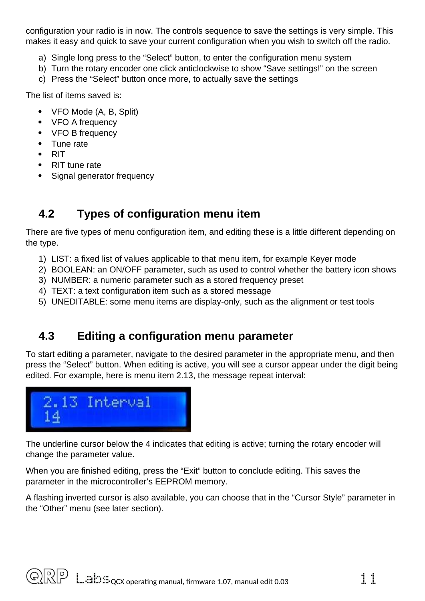configuration your radio is in now. The controls sequence to save the settings is very simple. This makes it easy and quick to save your current configuration when you wish to switch off the radio.

- a) Single long press to the "Select" button, to enter the configuration menu system
- b) Turn the rotary encoder one click anticlockwise to show "Save settings!" on the screen
- c) Press the "Select" button once more, to actually save the settings

The list of items saved is:

- VFO Mode (A, B, Split)
- VFO A frequency
- VFO B frequency
- Tune rate
- $\bullet$  RIT
- RIT tune rate
- Signal generator frequency

## <span id="page-10-1"></span>**4.2 Types of configuration menu item**

There are five types of menu configuration item, and editing these is a little different depending on the type.

- 1) LIST: a fixed list of values applicable to that menu item, for example Keyer mode
- 2) BOOLEAN: an ON/OFF parameter, such as used to control whether the battery icon shows
- 3) NUMBER: a numeric parameter such as a stored frequency preset
- 4) TEXT: a text configuration item such as a stored message
- 5) UNEDITABLE: some menu items are display-only, such as the alignment or test tools

## <span id="page-10-0"></span>**4.3 Editing a configuration menu parameter**

To start editing a parameter, navigate to the desired parameter in the appropriate menu, and then press the "Select" button. When editing is active, you will see a cursor appear under the digit being edited. For example, here is menu item 2.13, the message repeat interval:



The underline cursor below the 4 indicates that editing is active; turning the rotary encoder will change the parameter value.

When you are finished editing, press the "Exit" button to conclude editing. This saves the parameter in the microcontroller's EEPROM memory.

A flashing inverted cursor is also available, you can choose that in the "Cursor Style" parameter in the "Other" menu (see later section).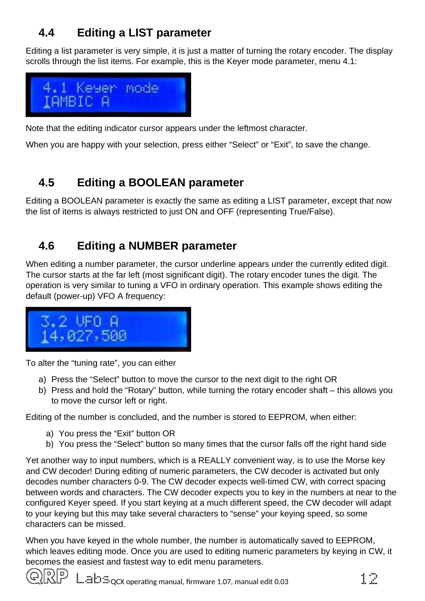## <span id="page-11-2"></span>**4.4 Editing a LIST parameter**

Editing a list parameter is very simple, it is just a matter of turning the rotary encoder. The display scrolls through the list items. For example, this is the Keyer mode parameter, menu 4.1:



Note that the editing indicator cursor appears under the leftmost character.

When you are happy with your selection, press either "Select" or "Exit", to save the change.

## <span id="page-11-1"></span>**4.5 Editing a BOOLEAN parameter**

Editing a BOOLEAN parameter is exactly the same as editing a LIST parameter, except that now the list of items is always restricted to just ON and OFF (representing True/False).

## <span id="page-11-0"></span>**4.6 Editing a NUMBER parameter**

When editing a number parameter, the cursor underline appears under the currently edited digit. The cursor starts at the far left (most significant digit). The rotary encoder tunes the digit. The operation is very similar to tuning a VFO in ordinary operation. This example shows editing the default (power-up) VFO A frequency:



To alter the "tuning rate", you can either

- a) Press the "Select" button to move the cursor to the next digit to the right OR
- b) Press and hold the "Rotary" button, while turning the rotary encoder shaft this allows you to move the cursor left or right.

Editing of the number is concluded, and the number is stored to EEPROM, when either:

- a) You press the "Exit" button OR
- b) You press the "Select" button so many times that the cursor falls off the right hand side

Yet another way to input numbers, which is a REALLY convenient way, is to use the Morse key and CW decoder! During editing of numeric parameters, the CW decoder is activated but only decodes number characters 0-9. The CW decoder expects well-timed CW, with correct spacing between words and characters. The CW decoder expects you to key in the numbers at near to the configured Keyer speed. If you start keying at a much different speed, the CW decoder will adapt to your keying but this may take several characters to "sense" your keying speed, so some characters can be missed.

When you have keyed in the whole number, the number is automatically saved to EEPROM, which leaves editing mode. Once you are used to editing numeric parameters by keying in CW, it becomes the easiest and fastest way to edit menu parameters.

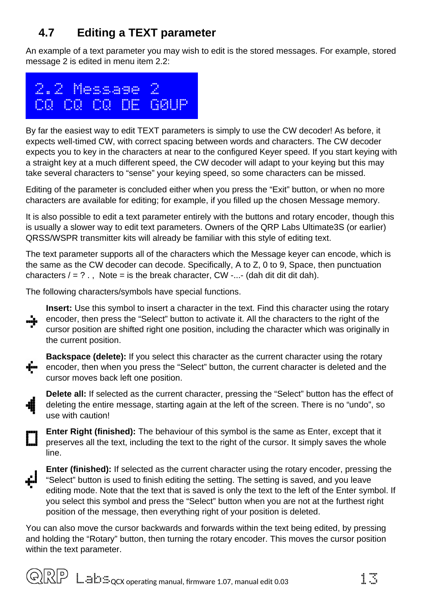## <span id="page-12-0"></span>**4.7 Editing a TEXT parameter**

An example of a text parameter you may wish to edit is the stored messages. For example, stored message 2 is edited in menu item 2.2:



By far the easiest way to edit TEXT parameters is simply to use the CW decoder! As before, it expects well-timed CW, with correct spacing between words and characters. The CW decoder expects you to key in the characters at near to the configured Keyer speed. If you start keying with a straight key at a much different speed, the CW decoder will adapt to your keying but this may take several characters to "sense" your keying speed, so some characters can be missed.

Editing of the parameter is concluded either when you press the "Exit" button, or when no more characters are available for editing; for example, if you filled up the chosen Message memory.

It is also possible to edit a text parameter entirely with the buttons and rotary encoder, though this is usually a slower way to edit text parameters. Owners of the QRP Labs Ultimate3S (or earlier) QRSS/WSPR transmitter kits will already be familiar with this style of editing text.

The text parameter supports all of the characters which the Message keyer can encode, which is the same as the CW decoder can decode. Specifically, A to Z, 0 to 9, Space, then punctuation characters  $/ = ?$ ., Note = is the break character, CW -...- (dah dit dit dit dah).

The following characters/symbols have special functions.



**Backspace (delete):** If you select this character as the current character using the rotary **F** encoder, then when you press the "Select" button, the current character is deleted and the cursor moves back left one position.

**Delete all:** If selected as the current character, pressing the "Select" button has the effect of deleting the entire message, starting again at the left of the screen. There is no "undo", so use with caution!

**Enter Right (finished):** The behaviour of this symbol is the same as Enter, except that it preserves all the text, including the text to the right of the cursor. It simply saves the whole line.



**Enter (finished):** If selected as the current character using the rotary encoder, pressing the "Select" button is used to finish editing the setting. The setting is saved, and you leave editing mode. Note that the text that is saved is only the text to the left of the Enter symbol. If you select this symbol and press the "Select" button when you are not at the furthest right position of the message, then everything right of your position is deleted.

You can also move the cursor backwards and forwards within the text being edited, by pressing and holding the "Rotary" button, then turning the rotary encoder. This moves the cursor position within the text parameter.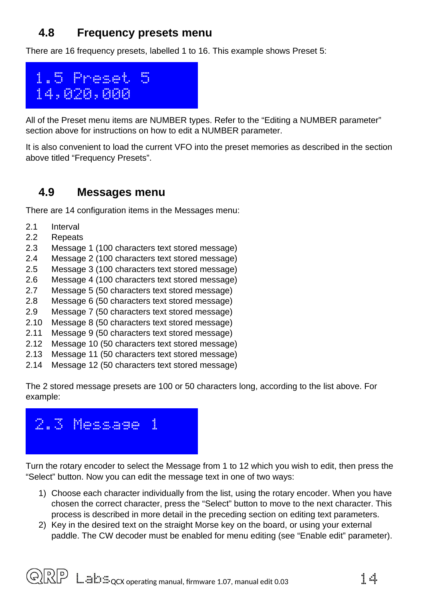## <span id="page-13-1"></span>**4.8 Frequency presets menu**

There are 16 frequency presets, labelled 1 to 16. This example shows Preset 5:



All of the Preset menu items are NUMBER types. Refer to the "Editing a NUMBER parameter" section above for instructions on how to edit a NUMBER parameter.

It is also convenient to load the current VFO into the preset memories as described in the section above titled "Frequency Presets".

### <span id="page-13-0"></span>**4.9 Messages menu**

There are 14 configuration items in the Messages menu:

- 2.1 Interval
- 2.2 Repeats
- 2.3 Message 1 (100 characters text stored message)
- 2.4 Message 2 (100 characters text stored message)
- 2.5 Message 3 (100 characters text stored message)
- 2.6 Message 4 (100 characters text stored message)
- 2.7 Message 5 (50 characters text stored message)
- 2.8 Message 6 (50 characters text stored message)
- 2.9 Message 7 (50 characters text stored message)
- 2.10 Message 8 (50 characters text stored message)
- 2.11 Message 9 (50 characters text stored message)
- 2.12 Message 10 (50 characters text stored message)
- 2.13 Message 11 (50 characters text stored message)
- 2.14 Message 12 (50 characters text stored message)

The 2 stored message presets are 100 or 50 characters long, according to the list above. For example:



Turn the rotary encoder to select the Message from 1 to 12 which you wish to edit, then press the "Select" button. Now you can edit the message text in one of two ways:

- 1) Choose each character individually from the list, using the rotary encoder. When you have chosen the correct character, press the "Select" button to move to the next character. This process is described in more detail in the preceding section on editing text parameters.
- 2) Key in the desired text on the straight Morse key on the board, or using your external paddle. The CW decoder must be enabled for menu editing (see "Enable edit" parameter).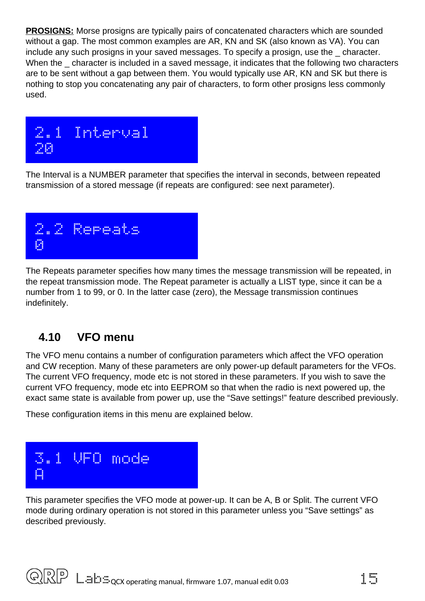**PROSIGNS:** Morse prosigns are typically pairs of concatenated characters which are sounded without a gap. The most common examples are AR, KN and SK (also known as VA). You can include any such prosigns in your saved messages. To specify a prosign, use the \_ character. When the character is included in a saved message, it indicates that the following two characters are to be sent without a gap between them. You would typically use AR, KN and SK but there is nothing to stop you concatenating any pair of characters, to form other prosigns less commonly used.



The Interval is a NUMBER parameter that specifies the interval in seconds, between repeated transmission of a stored message (if repeats are configured: see next parameter).



The Repeats parameter specifies how many times the message transmission will be repeated, in the repeat transmission mode. The Repeat parameter is actually a LIST type, since it can be a number from 1 to 99, or 0. In the latter case (zero), the Message transmission continues indefinitely.

## <span id="page-14-0"></span>**4.10 VFO menu**

The VFO menu contains a number of configuration parameters which affect the VFO operation and CW reception. Many of these parameters are only power-up default parameters for the VFOs. The current VFO frequency, mode etc is not stored in these parameters. If you wish to save the current VFO frequency, mode etc into EEPROM so that when the radio is next powered up, the exact same state is available from power up, use the "Save settings!" feature described previously.

These configuration items in this menu are explained below.



This parameter specifies the VFO mode at power-up. It can be A, B or Split. The current VFO mode during ordinary operation is not stored in this parameter unless you "Save settings" as described previously.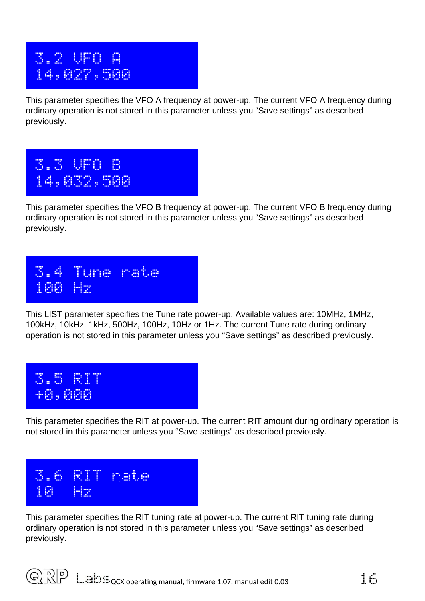## 3.2 VFO A 14,027,500

This parameter specifies the VFO A frequency at power-up. The current VFO A frequency during ordinary operation is not stored in this parameter unless you "Save settings" as described previously.





This LIST parameter specifies the Tune rate power-up. Available values are: 10MHz, 1MHz, 100kHz, 10kHz, 1kHz, 500Hz, 100Hz, 10Hz or 1Hz. The current Tune rate during ordinary operation is not stored in this parameter unless you "Save settings" as described previously.



This parameter specifies the RIT at power-up. The current RIT amount during ordinary operation is not stored in this parameter unless you "Save settings" as described previously.



This parameter specifies the RIT tuning rate at power-up. The current RIT tuning rate during ordinary operation is not stored in this parameter unless you "Save settings" as described previously.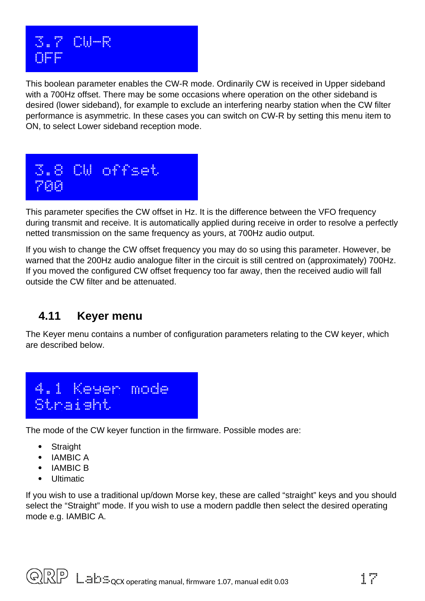

This boolean parameter enables the CW-R mode. Ordinarily CW is received in Upper sideband with a 700Hz offset. There may be some occasions where operation on the other sideband is desired (lower sideband), for example to exclude an interfering nearby station when the CW filter performance is asymmetric. In these cases you can switch on CW-R by setting this menu item to ON, to select Lower sideband reception mode.



This parameter specifies the CW offset in Hz. It is the difference between the VFO frequency during transmit and receive. It is automatically applied during receive in order to resolve a perfectly netted transmission on the same frequency as yours, at 700Hz audio output.

If you wish to change the CW offset frequency you may do so using this parameter. However, be warned that the 200Hz audio analogue filter in the circuit is still centred on (approximately) 700Hz. If you moved the configured CW offset frequency too far away, then the received audio will fall outside the CW filter and be attenuated.

### <span id="page-16-0"></span>**4.11 Keyer menu**

The Keyer menu contains a number of configuration parameters relating to the CW keyer, which are described below.



The mode of the CW keyer function in the firmware. Possible modes are:

- Straight
- IAMBIC A
- IAMBIC B
- Ultimatic

If you wish to use a traditional up/down Morse key, these are called "straight" keys and you should select the "Straight" mode. If you wish to use a modern paddle then select the desired operating mode e.g. IAMBIC A.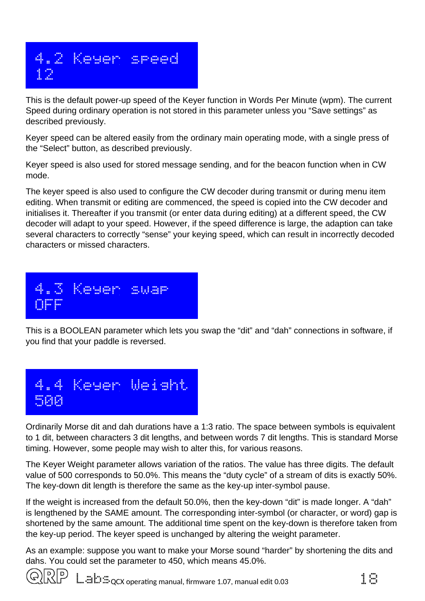

This is the default power-up speed of the Keyer function in Words Per Minute (wpm). The current Speed during ordinary operation is not stored in this parameter unless you "Save settings" as described previously.

Keyer speed can be altered easily from the ordinary main operating mode, with a single press of the "Select" button, as described previously.

Keyer speed is also used for stored message sending, and for the beacon function when in CW mode.

The keyer speed is also used to configure the CW decoder during transmit or during menu item editing. When transmit or editing are commenced, the speed is copied into the CW decoder and initialises it. Thereafter if you transmit (or enter data during editing) at a different speed, the CW decoder will adapt to your speed. However, if the speed difference is large, the adaption can take several characters to correctly "sense" your keying speed, which can result in incorrectly decoded characters or missed characters.

 4.3 Keyer swap **Merc** 

This is a BOOLEAN parameter which lets you swap the "dit" and "dah" connections in software, if you find that your paddle is reversed.



Ordinarily Morse dit and dah durations have a 1:3 ratio. The space between symbols is equivalent to 1 dit, between characters 3 dit lengths, and between words 7 dit lengths. This is standard Morse timing. However, some people may wish to alter this, for various reasons.

The Keyer Weight parameter allows variation of the ratios. The value has three digits. The default value of 500 corresponds to 50.0%. This means the "duty cycle" of a stream of dits is exactly 50%. The key-down dit length is therefore the same as the key-up inter-symbol pause.

If the weight is increased from the default 50.0%, then the key-down "dit" is made longer. A "dah" is lengthened by the SAME amount. The corresponding inter-symbol (or character, or word) gap is shortened by the same amount. The additional time spent on the key-down is therefore taken from the key-up period. The keyer speed is unchanged by altering the weight parameter.

As an example: suppose you want to make your Morse sound "harder" by shortening the dits and dahs. You could set the parameter to 450, which means 45.0%.

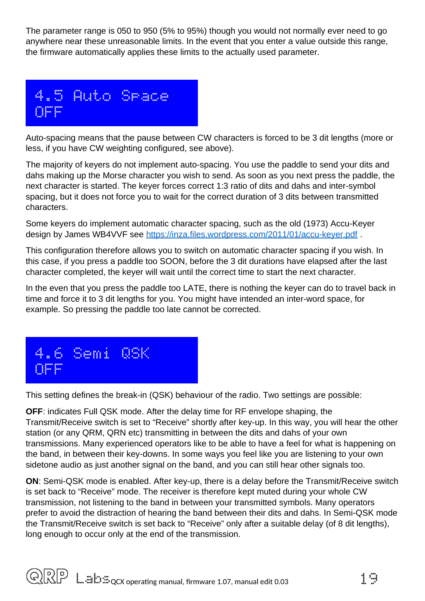The parameter range is 050 to 950 (5% to 95%) though you would not normally ever need to go anywhere near these unreasonable limits. In the event that you enter a value outside this range, the firmware automatically applies these limits to the actually used parameter.



Auto-spacing means that the pause between CW characters is forced to be 3 dit lengths (more or less, if you have CW weighting configured, see above).

The majority of keyers do not implement auto-spacing. You use the paddle to send your dits and dahs making up the Morse character you wish to send. As soon as you next press the paddle, the next character is started. The keyer forces correct 1:3 ratio of dits and dahs and inter-symbol spacing, but it does not force you to wait for the correct duration of 3 dits between transmitted characters.

Some keyers do implement automatic character spacing, such as the old (1973) Accu-Keyer design by James WB4VVF see<https://inza.files.wordpress.com/2011/01/accu-keyer.pdf>.

This configuration therefore allows you to switch on automatic character spacing if you wish. In this case, if you press a paddle too SOON, before the 3 dit durations have elapsed after the last character completed, the keyer will wait until the correct time to start the next character.

In the even that you press the paddle too LATE, there is nothing the keyer can do to travel back in time and force it to 3 dit lengths for you. You might have intended an inter-word space, for example. So pressing the paddle too late cannot be corrected.



This setting defines the break-in (QSK) behaviour of the radio. Two settings are possible:

**OFF**: indicates Full QSK mode. After the delay time for RF envelope shaping, the Transmit/Receive switch is set to "Receive" shortly after key-up. In this way, you will hear the other station (or any QRM, QRN etc) transmitting in between the dits and dahs of your own transmissions. Many experienced operators like to be able to have a feel for what is happening on the band, in between their key-downs. In some ways you feel like you are listening to your own sidetone audio as just another signal on the band, and you can still hear other signals too.

**ON**: Semi-QSK mode is enabled. After key-up, there is a delay before the Transmit/Receive switch is set back to "Receive" mode. The receiver is therefore kept muted during your whole CW transmission, not listening to the band in between your transmitted symbols. Many operators prefer to avoid the distraction of hearing the band between their dits and dahs. In Semi-QSK mode the Transmit/Receive switch is set back to "Receive" only after a suitable delay (of 8 dit lengths), long enough to occur only at the end of the transmission.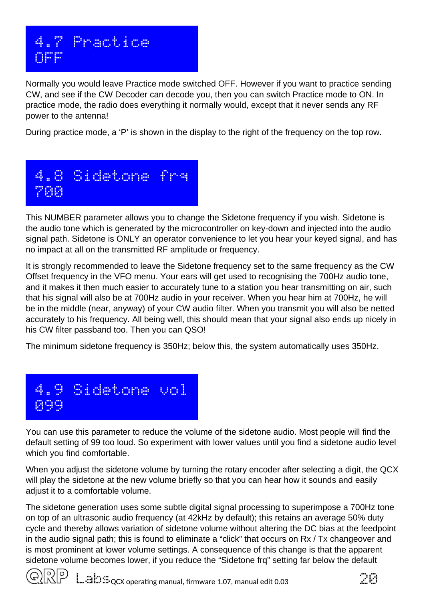

Normally you would leave Practice mode switched OFF. However if you want to practice sending CW, and see if the CW Decoder can decode you, then you can switch Practice mode to ON. In practice mode, the radio does everything it normally would, except that it never sends any RF power to the antenna!

During practice mode, a 'P' is shown in the display to the right of the frequency on the top row.



This NUMBER parameter allows you to change the Sidetone frequency if you wish. Sidetone is the audio tone which is generated by the microcontroller on key-down and injected into the audio signal path. Sidetone is ONLY an operator convenience to let you hear your keyed signal, and has no impact at all on the transmitted RF amplitude or frequency.

It is strongly recommended to leave the Sidetone frequency set to the same frequency as the CW Offset frequency in the VFO menu. Your ears will get used to recognising the 700Hz audio tone, and it makes it then much easier to accurately tune to a station you hear transmitting on air, such that his signal will also be at 700Hz audio in your receiver. When you hear him at 700Hz, he will be in the middle (near, anyway) of your CW audio filter. When you transmit you will also be netted accurately to his frequency. All being well, this should mean that your signal also ends up nicely in his CW filter passband too. Then you can QSO!

The minimum sidetone frequency is 350Hz; below this, the system automatically uses 350Hz.



You can use this parameter to reduce the volume of the sidetone audio. Most people will find the default setting of 99 too loud. So experiment with lower values until you find a sidetone audio level which you find comfortable.

When you adjust the sidetone volume by turning the rotary encoder after selecting a digit, the QCX will play the sidetone at the new volume briefly so that you can hear how it sounds and easily adjust it to a comfortable volume.

The sidetone generation uses some subtle digital signal processing to superimpose a 700Hz tone on top of an ultrasonic audio frequency (at 42kHz by default); this retains an average 50% duty cycle and thereby allows variation of sidetone volume without altering the DC bias at the feedpoint in the audio signal path; this is found to eliminate a "click" that occurs on Rx / Tx changeover and is most prominent at lower volume settings. A consequence of this change is that the apparent sidetone volume becomes lower, if you reduce the "Sidetone frq" setting far below the default



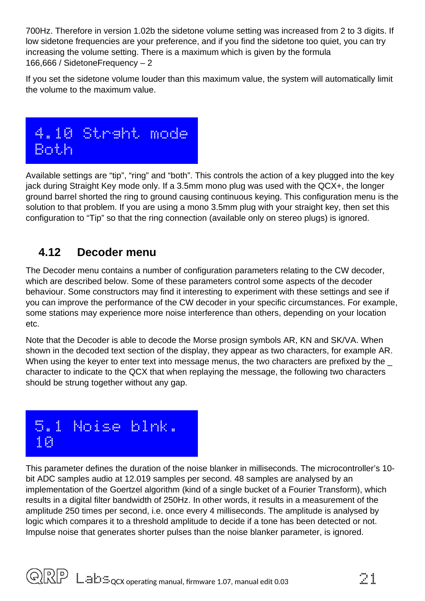700Hz. Therefore in version 1.02b the sidetone volume setting was increased from 2 to 3 digits. If low sidetone frequencies are your preference, and if you find the sidetone too quiet, you can try increasing the volume setting. There is a maximum which is given by the formula 166,666 / SidetoneFrequency – 2

If you set the sidetone volume louder than this maximum value, the system will automatically limit the volume to the maximum value.



Available settings are "tip", "ring" and "both". This controls the action of a key plugged into the key jack during Straight Key mode only. If a 3.5mm mono plug was used with the QCX+, the longer ground barrel shorted the ring to ground causing continuous keying. This configuration menu is the solution to that problem. If you are using a mono 3.5mm plug with your straight key, then set this configuration to "Tip" so that the ring connection (available only on stereo plugs) is ignored.

## <span id="page-20-0"></span>**4.12 Decoder menu**

The Decoder menu contains a number of configuration parameters relating to the CW decoder, which are described below. Some of these parameters control some aspects of the decoder behaviour. Some constructors may find it interesting to experiment with these settings and see if you can improve the performance of the CW decoder in your specific circumstances. For example, some stations may experience more noise interference than others, depending on your location etc.

Note that the Decoder is able to decode the Morse prosign symbols AR, KN and SK/VA. When shown in the decoded text section of the display, they appear as two characters, for example AR. When using the keyer to enter text into message menus, the two characters are prefixed by the character to indicate to the QCX that when replaying the message, the following two characters should be strung together without any gap.

## 5.1 Noise blnk. 10

This parameter defines the duration of the noise blanker in milliseconds. The microcontroller's 10 bit ADC samples audio at 12.019 samples per second. 48 samples are analysed by an implementation of the Goertzel algorithm (kind of a single bucket of a Fourier Transform), which results in a digital filter bandwidth of 250Hz. In other words, it results in a measurement of the amplitude 250 times per second, i.e. once every 4 milliseconds. The amplitude is analysed by logic which compares it to a threshold amplitude to decide if a tone has been detected or not. Impulse noise that generates shorter pulses than the noise blanker parameter, is ignored.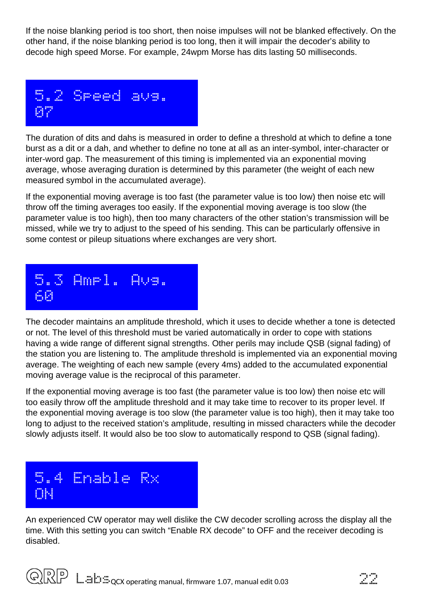If the noise blanking period is too short, then noise impulses will not be blanked effectively. On the other hand, if the noise blanking period is too long, then it will impair the decoder's ability to decode high speed Morse. For example, 24wpm Morse has dits lasting 50 milliseconds.



The duration of dits and dahs is measured in order to define a threshold at which to define a tone burst as a dit or a dah, and whether to define no tone at all as an inter-symbol, inter-character or inter-word gap. The measurement of this timing is implemented via an exponential moving average, whose averaging duration is determined by this parameter (the weight of each new measured symbol in the accumulated average).

If the exponential moving average is too fast (the parameter value is too low) then noise etc will throw off the timing averages too easily. If the exponential moving average is too slow (the parameter value is too high), then too many characters of the other station's transmission will be missed, while we try to adjust to the speed of his sending. This can be particularly offensive in some contest or pileup situations where exchanges are very short.



The decoder maintains an amplitude threshold, which it uses to decide whether a tone is detected or not. The level of this threshold must be varied automatically in order to cope with stations having a wide range of different signal strengths. Other perils may include QSB (signal fading) of the station you are listening to. The amplitude threshold is implemented via an exponential moving average. The weighting of each new sample (every 4ms) added to the accumulated exponential moving average value is the reciprocal of this parameter.

If the exponential moving average is too fast (the parameter value is too low) then noise etc will too easily throw off the amplitude threshold and it may take time to recover to its proper level. If the exponential moving average is too slow (the parameter value is too high), then it may take too long to adjust to the received station's amplitude, resulting in missed characters while the decoder slowly adjusts itself. It would also be too slow to automatically respond to QSB (signal fading).



An experienced CW operator may well dislike the CW decoder scrolling across the display all the time. With this setting you can switch "Enable RX decode" to OFF and the receiver decoding is disabled.

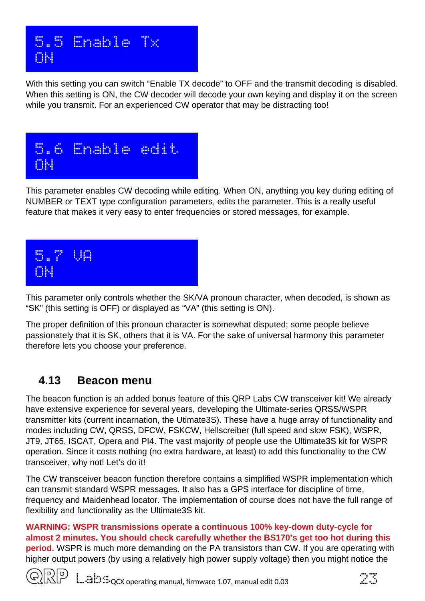

With this setting you can switch "Enable TX decode" to OFF and the transmit decoding is disabled. When this setting is ON, the CW decoder will decode your own keying and display it on the screen while you transmit. For an experienced CW operator that may be distracting too!



This parameter enables CW decoding while editing. When ON, anything you key during editing of NUMBER or TEXT type configuration parameters, edits the parameter. This is a really useful feature that makes it very easy to enter frequencies or stored messages, for example.



This parameter only controls whether the SK/VA pronoun character, when decoded, is shown as "SK" (this setting is OFF) or displayed as "VA" (this setting is ON).

The proper definition of this pronoun character is somewhat disputed; some people believe passionately that it is SK, others that it is VA. For the sake of universal harmony this parameter therefore lets you choose your preference.

### <span id="page-22-0"></span>**4.13 Beacon menu**

The beacon function is an added bonus feature of this QRP Labs CW transceiver kit! We already have extensive experience for several years, developing the Ultimate-series QRSS/WSPR transmitter kits (current incarnation, the Utimate3S). These have a huge array of functionality and modes including CW, QRSS, DFCW, FSKCW, Hellscreiber (full speed and slow FSK), WSPR, JT9, JT65, ISCAT, Opera and PI4. The vast majority of people use the Ultimate3S kit for WSPR operation. Since it costs nothing (no extra hardware, at least) to add this functionality to the CW transceiver, why not! Let's do it!

The CW transceiver beacon function therefore contains a simplified WSPR implementation which can transmit standard WSPR messages. It also has a GPS interface for discipline of time, frequency and Maidenhead locator. The implementation of course does not have the full range of flexibility and functionality as the Ultimate3S kit.

**WARNING: WSPR transmissions operate a continuous 100% key-down duty-cycle for almost 2 minutes. You should check carefully whether the BS170's get too hot during this period.** WSPR is much more demanding on the PA transistors than CW. If you are operating with higher output powers (by using a relatively high power supply voltage) then you might notice the



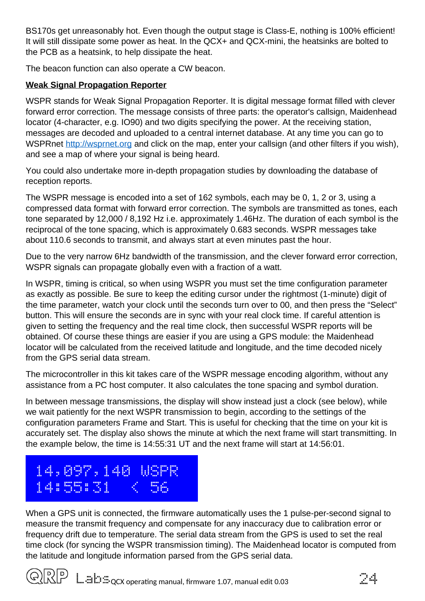BS170s get unreasonably hot. Even though the output stage is Class-E, nothing is 100% efficient! It will still dissipate some power as heat. In the QCX+ and QCX-mini, the heatsinks are bolted to the PCB as a heatsink, to help dissipate the heat.

The beacon function can also operate a CW beacon.

#### **Weak Signal Propagation Reporter**

WSPR stands for Weak Signal Propagation Reporter. It is digital message format filled with clever forward error correction. The message consists of three parts: the operator's callsign, Maidenhead locator (4-character, e.g. IO90) and two digits specifying the power. At the receiving station, messages are decoded and uploaded to a central internet database. At any time you can go to WSPRnet [http://wsprnet.org](http://wsprnet.org/) and click on the map, enter your callsign (and other filters if you wish), and see a map of where your signal is being heard.

You could also undertake more in-depth propagation studies by downloading the database of reception reports.

The WSPR message is encoded into a set of 162 symbols, each may be 0, 1, 2 or 3, using a compressed data format with forward error correction. The symbols are transmitted as tones, each tone separated by 12,000 / 8,192 Hz i.e. approximately 1.46Hz. The duration of each symbol is the reciprocal of the tone spacing, which is approximately 0.683 seconds. WSPR messages take about 110.6 seconds to transmit, and always start at even minutes past the hour.

Due to the very narrow 6Hz bandwidth of the transmission, and the clever forward error correction, WSPR signals can propagate globally even with a fraction of a watt.

In WSPR, timing is critical, so when using WSPR you must set the time configuration parameter as exactly as possible. Be sure to keep the editing cursor under the rightmost (1-minute) digit of the time parameter, watch your clock until the seconds turn over to 00, and then press the "Select" button. This will ensure the seconds are in sync with your real clock time. If careful attention is given to setting the frequency and the real time clock, then successful WSPR reports will be obtained. Of course these things are easier if you are using a GPS module: the Maidenhead locator will be calculated from the received latitude and longitude, and the time decoded nicely from the GPS serial data stream.

The microcontroller in this kit takes care of the WSPR message encoding algorithm, without any assistance from a PC host computer. It also calculates the tone spacing and symbol duration.

In between message transmissions, the display will show instead just a clock (see below), while we wait patiently for the next WSPR transmission to begin, according to the settings of the configuration parameters Frame and Start. This is useful for checking that the time on your kit is accurately set. The display also shows the minute at which the next frame will start transmitting. In the example below, the time is 14:55:31 UT and the next frame will start at 14:56:01.



When a GPS unit is connected, the firmware automatically uses the 1 pulse-per-second signal to measure the transmit frequency and compensate for any inaccuracy due to calibration error or frequency drift due to temperature. The serial data stream from the GPS is used to set the real time clock (for syncing the WSPR transmission timing). The Maidenhead locator is computed from the latitude and longitude information parsed from the GPS serial data.



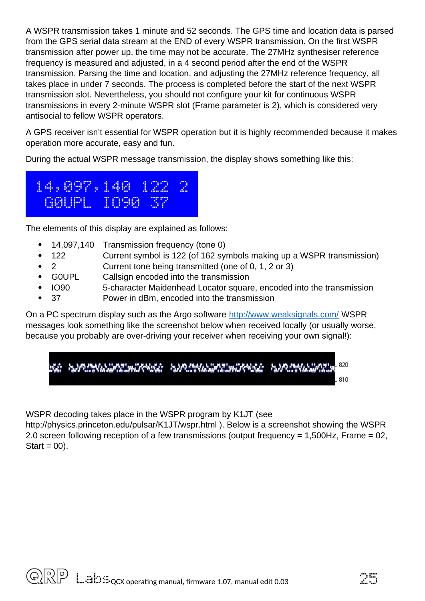A WSPR transmission takes 1 minute and 52 seconds. The GPS time and location data is parsed from the GPS serial data stream at the END of every WSPR transmission. On the first WSPR transmission after power up, the time may not be accurate. The 27MHz synthesiser reference frequency is measured and adjusted, in a 4 second period after the end of the WSPR transmission. Parsing the time and location, and adjusting the 27MHz reference frequency, all takes place in under 7 seconds. The process is completed before the start of the next WSPR transmission slot. Nevertheless, you should not configure your kit for continuous WSPR transmissions in every 2-minute WSPR slot (Frame parameter is 2), which is considered very antisocial to fellow WSPR operators.

A GPS receiver isn't essential for WSPR operation but it is highly recommended because it makes operation more accurate, easy and fun.

During the actual WSPR message transmission, the display shows something like this:



The elements of this display are explained as follows:

- 14,097,140 Transmission frequency (tone 0)
- 122 Current symbol is 122 (of 162 symbols making up a WSPR transmission)
- 2 Current tone being transmitted (one of 0, 1, 2 or 3)
- G0UPL Callsign encoded into the transmission
- IO90 5-character Maidenhead Locator square, encoded into the transmission
- 37 Power in dBm, encoded into the transmission

On a PC spectrum display such as the Argo software<http://www.weaksignals.com/>WSPR messages look something like the screenshot below when received locally (or usually worse, because you probably are over-driving your receiver when receiving your own signal!):

WSPR decoding takes place in the WSPR program by K1JT (see

http://physics.princeton.edu/pulsar/K1JT/wspr.html ). Below is a screenshot showing the WSPR 2.0 screen following reception of a few transmissions (output frequency = 1,500Hz, Frame = 02, Start =  $00$ ).

$$
\mathbb{Z}\mathbb{S}
$$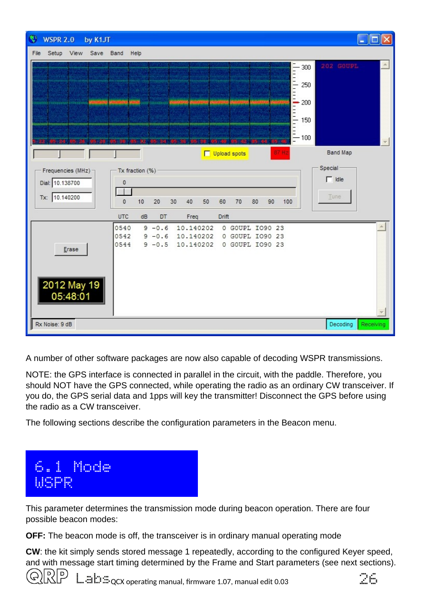

A number of other software packages are now also capable of decoding WSPR transmissions.

NOTE: the GPS interface is connected in parallel in the circuit, with the paddle. Therefore, you should NOT have the GPS connected, while operating the radio as an ordinary CW transceiver. If you do, the GPS serial data and 1pps will key the transmitter! Disconnect the GPS before using the radio as a CW transceiver.

The following sections describe the configuration parameters in the Beacon menu.



This parameter determines the transmission mode during beacon operation. There are four possible beacon modes:

**OFF:** The beacon mode is off, the transceiver is in ordinary manual operating mode

**CW**: the kit simply sends stored message 1 repeatedly, according to the configured Keyer speed, and with message start timing determined by the Frame and Start parameters (see next sections).



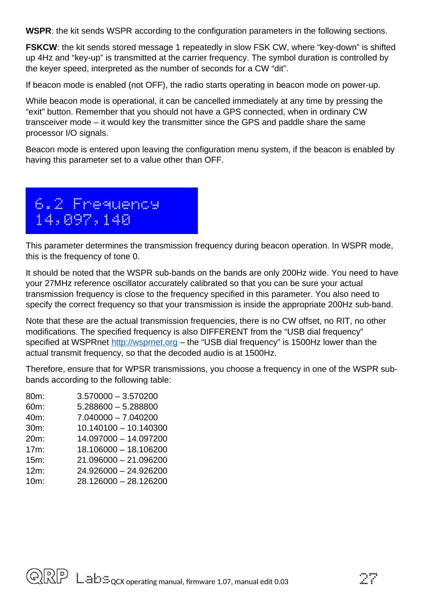**WSPR**: the kit sends WSPR according to the configuration parameters in the following sections.

**FSKCW**: the kit sends stored message 1 repeatedly in slow FSK CW, where "key-down" is shifted up 4Hz and "key-up" is transmitted at the carrier frequency. The symbol duration is controlled by the keyer speed, interpreted as the number of seconds for a CW "dit".

If beacon mode is enabled (not OFF), the radio starts operating in beacon mode on power-up.

While beacon mode is operational, it can be cancelled immediately at any time by pressing the "exit" button. Remember that you should not have a GPS connected, when in ordinary CW transceiver mode – it would key the transmitter since the GPS and paddle share the same processor I/O signals.

Beacon mode is entered upon leaving the configuration menu system, if the beacon is enabled by having this parameter set to a value other than OFF.

# 6.2 Frequency 14,097,140

This parameter determines the transmission frequency during beacon operation. In WSPR mode, this is the frequency of tone 0.

It should be noted that the WSPR sub-bands on the bands are only 200Hz wide. You need to have your 27MHz reference oscillator accurately calibrated so that you can be sure your actual transmission frequency is close to the frequency specified in this parameter. You also need to specify the correct frequency so that your transmission is inside the appropriate 200Hz sub-band.

Note that these are the actual transmission frequencies, there is no CW offset, no RIT, no other modifications. The specified frequency is also DIFFERENT from the "USB dial frequency" specified at WSPRnet [http://wsprnet.org](http://wsprnet.org/) – the "USB dial frequency" is 1500Hz lower than the actual transmit frequency, so that the decoded audio is at 1500Hz.

Therefore, ensure that for WPSR transmissions, you choose a frequency in one of the WSPR subbands according to the following table:

| 80m: | $3.570000 - 3.570200$ |
|------|-----------------------|
| 60m: | $5.288600 - 5.288800$ |
| 40m: | $7.040000 - 7.040200$ |
| 30m: | 10.140100 - 10.140300 |
| 20m: | 14.097000 - 14.097200 |
| 17m: | 18.106000 - 18.106200 |
| 15m: | 21.096000 - 21.096200 |
| 12m: | 24.926000 - 24.926200 |
| 10m: | 28.126000 - 28.126200 |
|      |                       |

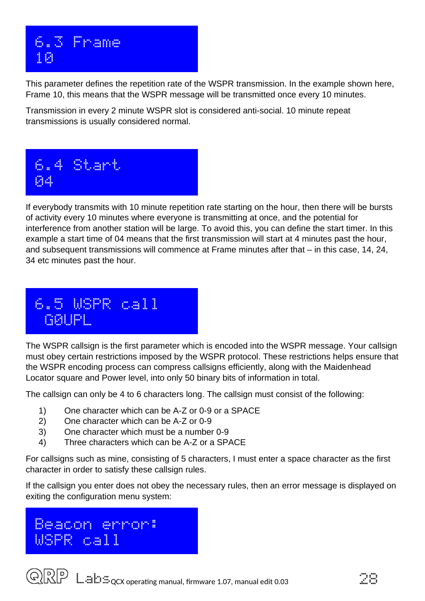

This parameter defines the repetition rate of the WSPR transmission. In the example shown here, Frame 10, this means that the WSPR message will be transmitted once every 10 minutes.

Transmission in every 2 minute WSPR slot is considered anti-social. 10 minute repeat transmissions is usually considered normal.



If everybody transmits with 10 minute repetition rate starting on the hour, then there will be bursts of activity every 10 minutes where everyone is transmitting at once, and the potential for interference from another station will be large. To avoid this, you can define the start timer. In this example a start time of 04 means that the first transmission will start at 4 minutes past the hour, and subsequent transmissions will commence at Frame minutes after that – in this case, 14, 24, 34 etc minutes past the hour.

## 6.5 WSPR call G0UPL

The WSPR callsign is the first parameter which is encoded into the WSPR message. Your callsign must obey certain restrictions imposed by the WSPR protocol. These restrictions helps ensure that the WSPR encoding process can compress callsigns efficiently, along with the Maidenhead Locator square and Power level, into only 50 binary bits of information in total.

The callsign can only be 4 to 6 characters long. The callsign must consist of the following:

- 1) One character which can be A-Z or 0-9 or a SPACE
- 2) One character which can be A-Z or 0-9
- 3) One character which must be a number 0-9
- 4) Three characters which can be A-Z or a SPACE

For callsigns such as mine, consisting of 5 characters, I must enter a space character as the first character in order to satisfy these callsign rules.

If the callsign you enter does not obey the necessary rules, then an error message is displayed on exiting the configuration menu system:

## Beacon error: WSPR call

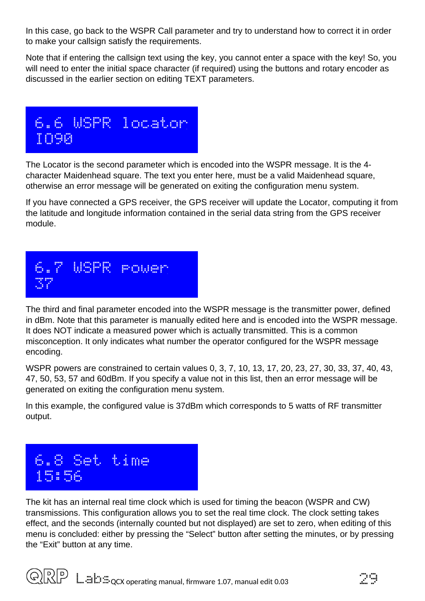In this case, go back to the WSPR Call parameter and try to understand how to correct it in order to make your callsign satisfy the requirements.

Note that if entering the callsign text using the key, you cannot enter a space with the key! So, you will need to enter the initial space character (if required) using the buttons and rotary encoder as discussed in the earlier section on editing TEXT parameters.



The Locator is the second parameter which is encoded into the WSPR message. It is the 4 character Maidenhead square. The text you enter here, must be a valid Maidenhead square, otherwise an error message will be generated on exiting the configuration menu system.

If you have connected a GPS receiver, the GPS receiver will update the Locator, computing it from the latitude and longitude information contained in the serial data string from the GPS receiver module.



The third and final parameter encoded into the WSPR message is the transmitter power, defined in dBm. Note that this parameter is manually edited here and is encoded into the WSPR message. It does NOT indicate a measured power which is actually transmitted. This is a common misconception. It only indicates what number the operator configured for the WSPR message encoding.

WSPR powers are constrained to certain values 0, 3, 7, 10, 13, 17, 20, 23, 27, 30, 33, 37, 40, 43, 47, 50, 53, 57 and 60dBm. If you specify a value not in this list, then an error message will be generated on exiting the configuration menu system.

In this example, the configured value is 37dBm which corresponds to 5 watts of RF transmitter output.



The kit has an internal real time clock which is used for timing the beacon (WSPR and CW) transmissions. This configuration allows you to set the real time clock. The clock setting takes effect, and the seconds (internally counted but not displayed) are set to zero, when editing of this menu is concluded: either by pressing the "Select" button after setting the minutes, or by pressing the "Exit" button at any time.

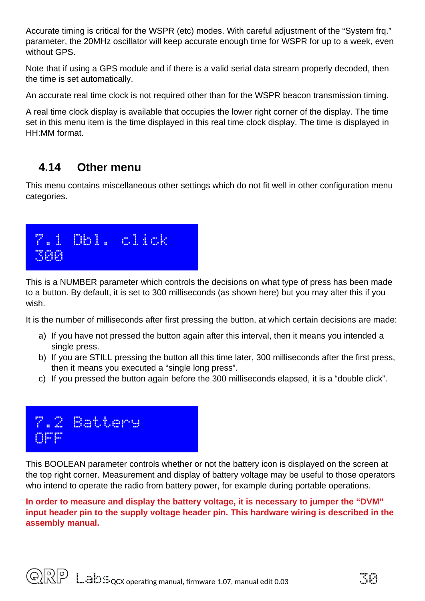Accurate timing is critical for the WSPR (etc) modes. With careful adjustment of the "System frq." parameter, the 20MHz oscillator will keep accurate enough time for WSPR for up to a week, even without GPS.

Note that if using a GPS module and if there is a valid serial data stream properly decoded, then the time is set automatically.

An accurate real time clock is not required other than for the WSPR beacon transmission timing.

A real time clock display is available that occupies the lower right corner of the display. The time set in this menu item is the time displayed in this real time clock display. The time is displayed in HH:MM format.

## <span id="page-29-0"></span>**4.14 Other menu**

This menu contains miscellaneous other settings which do not fit well in other configuration menu categories.



This is a NUMBER parameter which controls the decisions on what type of press has been made to a button. By default, it is set to 300 milliseconds (as shown here) but you may alter this if you wish.

It is the number of milliseconds after first pressing the button, at which certain decisions are made:

- a) If you have not pressed the button again after this interval, then it means you intended a single press.
- b) If you are STILL pressing the button all this time later, 300 milliseconds after the first press, then it means you executed a "single long press".
- c) If you pressed the button again before the 300 milliseconds elapsed, it is a "double click".



This BOOLEAN parameter controls whether or not the battery icon is displayed on the screen at the top right corner. Measurement and display of battery voltage may be useful to those operators who intend to operate the radio from battery power, for example during portable operations.

**In order to measure and display the battery voltage, it is necessary to jumper the "DVM" input header pin to the supply voltage header pin. This hardware wiring is described in the assembly manual.** 

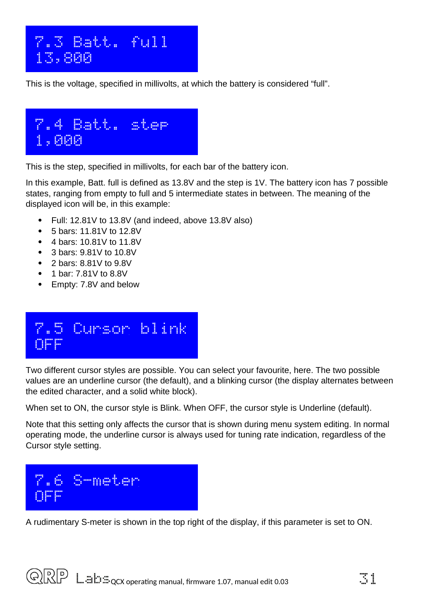

This is the voltage, specified in millivolts, at which the battery is considered "full".



This is the step, specified in millivolts, for each bar of the battery icon.

In this example, Batt. full is defined as 13.8V and the step is 1V. The battery icon has 7 possible states, ranging from empty to full and 5 intermediate states in between. The meaning of the displayed icon will be, in this example:

- Full: 12.81V to 13.8V (and indeed, above 13.8V also)
- 5 bars: 11.81V to 12.8V
- 4 bars: 10.81V to 11.8V
- 3 bars: 9.81V to 10.8V
- 2 bars: 8.81V to 9.8V
- 1 bar: 7.81V to 8.8V
- Empty: 7.8V and below

# 7.5 Cursor blink OFF

Two different cursor styles are possible. You can select your favourite, here. The two possible values are an underline cursor (the default), and a blinking cursor (the display alternates between the edited character, and a solid white block).

When set to ON, the cursor style is Blink. When OFF, the cursor style is Underline (default).

Note that this setting only affects the cursor that is shown during menu system editing. In normal operating mode, the underline cursor is always used for tuning rate indication, regardless of the Cursor style setting.



A rudimentary S-meter is shown in the top right of the display, if this parameter is set to ON.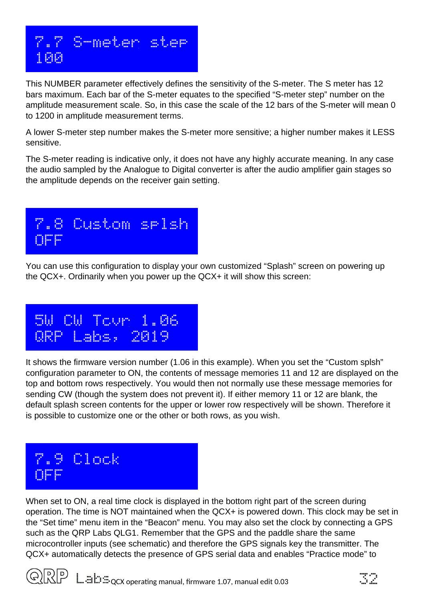

This NUMBER parameter effectively defines the sensitivity of the S-meter. The S meter has 12 bars maximum. Each bar of the S-meter equates to the specified "S-meter step" number on the amplitude measurement scale. So, in this case the scale of the 12 bars of the S-meter will mean 0 to 1200 in amplitude measurement terms.

A lower S-meter step number makes the S-meter more sensitive; a higher number makes it LESS sensitive.

The S-meter reading is indicative only, it does not have any highly accurate meaning. In any case the audio sampled by the Analogue to Digital converter is after the audio amplifier gain stages so the amplitude depends on the receiver gain setting.



You can use this configuration to display your own customized "Splash" screen on powering up the QCX+. Ordinarily when you power up the QCX+ it will show this screen:

 5W CW Tcvr 1.06 QRP Labs, 2019

It shows the firmware version number (1.06 in this example). When you set the "Custom splsh" configuration parameter to ON, the contents of message memories 11 and 12 are displayed on the top and bottom rows respectively. You would then not normally use these message memories for sending CW (though the system does not prevent it). If either memory 11 or 12 are blank, the default splash screen contents for the upper or lower row respectively will be shown. Therefore it is possible to customize one or the other or both rows, as you wish.



When set to ON, a real time clock is displayed in the bottom right part of the screen during operation. The time is NOT maintained when the QCX+ is powered down. This clock may be set in the "Set time" menu item in the "Beacon" menu. You may also set the clock by connecting a GPS such as the QRP Labs QLG1. Remember that the GPS and the paddle share the same microcontroller inputs (see schematic) and therefore the GPS signals key the transmitter. The QCX+ automatically detects the presence of GPS serial data and enables "Practice mode" to



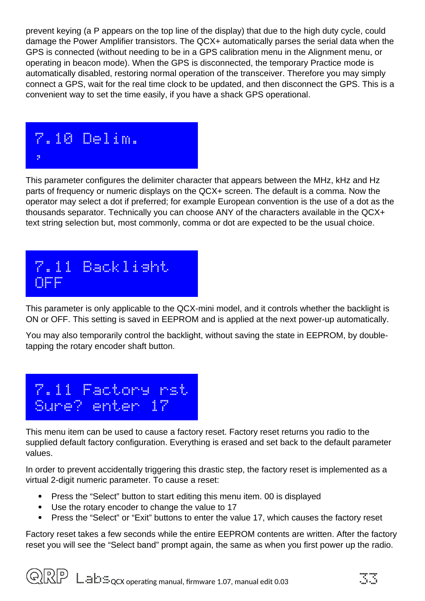prevent keying (a P appears on the top line of the display) that due to the high duty cycle, could damage the Power Amplifier transistors. The QCX+ automatically parses the serial data when the GPS is connected (without needing to be in a GPS calibration menu in the Alignment menu, or operating in beacon mode). When the GPS is disconnected, the temporary Practice mode is automatically disabled, restoring normal operation of the transceiver. Therefore you may simply connect a GPS, wait for the real time clock to be updated, and then disconnect the GPS. This is a convenient way to set the time easily, if you have a shack GPS operational.



This parameter configures the delimiter character that appears between the MHz, kHz and Hz parts of frequency or numeric displays on the QCX+ screen. The default is a comma. Now the operator may select a dot if preferred; for example European convention is the use of a dot as the thousands separator. Technically you can choose ANY of the characters available in the QCX+ text string selection but, most commonly, comma or dot are expected to be the usual choice.



This parameter is only applicable to the QCX-mini model, and it controls whether the backlight is ON or OFF. This setting is saved in EEPROM and is applied at the next power-up automatically.

You may also temporarily control the backlight, without saving the state in EEPROM, by doubletapping the rotary encoder shaft button.



This menu item can be used to cause a factory reset. Factory reset returns you radio to the supplied default factory configuration. Everything is erased and set back to the default parameter values.

In order to prevent accidentally triggering this drastic step, the factory reset is implemented as a virtual 2-digit numeric parameter. To cause a reset:

- Press the "Select" button to start editing this menu item. 00 is displayed
- Use the rotary encoder to change the value to 17
- Press the "Select" or "Exit" buttons to enter the value 17, which causes the factory reset

Factory reset takes a few seconds while the entire EEPROM contents are written. After the factory reset you will see the "Select band" prompt again, the same as when you first power up the radio.

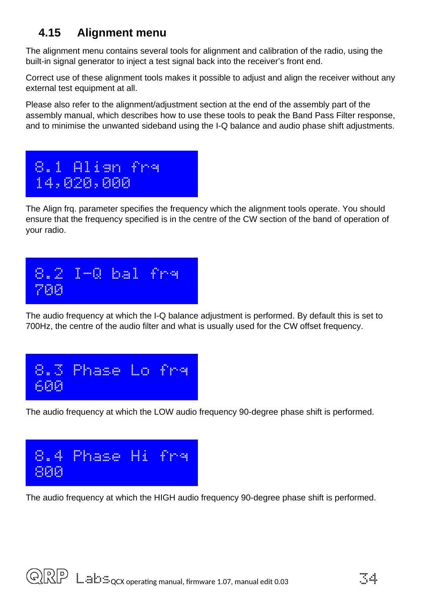## <span id="page-33-0"></span>**4.15 Alignment menu**

The alignment menu contains several tools for alignment and calibration of the radio, using the built-in signal generator to inject a test signal back into the receiver's front end.

Correct use of these alignment tools makes it possible to adjust and align the receiver without any external test equipment at all.

Please also refer to the alignment/adjustment section at the end of the assembly part of the assembly manual, which describes how to use these tools to peak the Band Pass Filter response, and to minimise the unwanted sideband using the I-Q balance and audio phase shift adjustments.



The Align frq. parameter specifies the frequency which the alignment tools operate. You should ensure that the frequency specified is in the centre of the CW section of the band of operation of your radio.



The audio frequency at which the I-Q balance adjustment is performed. By default this is set to 700Hz, the centre of the audio filter and what is usually used for the CW offset frequency.



The audio frequency at which the LOW audio frequency 90-degree phase shift is performed.



The audio frequency at which the HIGH audio frequency 90-degree phase shift is performed.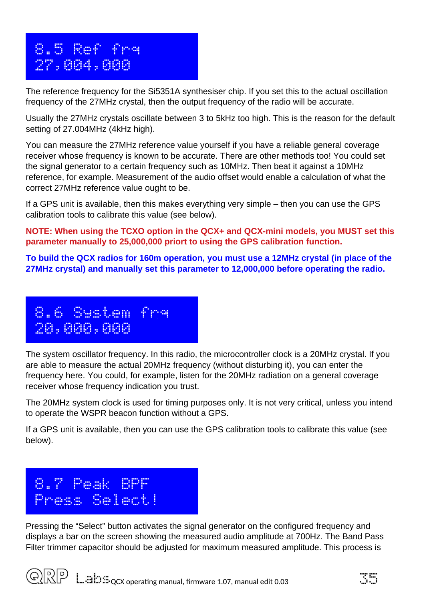## 8.5 Ref frq 27,004,000

The reference frequency for the Si5351A synthesiser chip. If you set this to the actual oscillation frequency of the 27MHz crystal, then the output frequency of the radio will be accurate.

Usually the 27MHz crystals oscillate between 3 to 5kHz too high. This is the reason for the default setting of 27.004MHz (4kHz high).

You can measure the 27MHz reference value yourself if you have a reliable general coverage receiver whose frequency is known to be accurate. There are other methods too! You could set the signal generator to a certain frequency such as 10MHz. Then beat it against a 10MHz reference, for example. Measurement of the audio offset would enable a calculation of what the correct 27MHz reference value ought to be.

If a GPS unit is available, then this makes everything very simple – then you can use the GPS calibration tools to calibrate this value (see below).

**NOTE: When using the TCXO option in the QCX+ and QCX-mini models, you MUST set this parameter manually to 25,000,000 priort to using the GPS calibration function.** 

**To build the QCX radios for 160m operation, you must use a 12MHz crystal (in place of the 27MHz crystal) and manually set this parameter to 12,000,000 before operating the radio.** 



The system oscillator frequency. In this radio, the microcontroller clock is a 20MHz crystal. If you are able to measure the actual 20MHz frequency (without disturbing it), you can enter the frequency here. You could, for example, listen for the 20MHz radiation on a general coverage receiver whose frequency indication you trust.

The 20MHz system clock is used for timing purposes only. It is not very critical, unless you intend to operate the WSPR beacon function without a GPS.

If a GPS unit is available, then you can use the GPS calibration tools to calibrate this value (see below).

| <b>BBB</b><br><b>BREED</b><br>$\boldsymbol{\theta}$<br>п<br>г<br>Ð<br>н<br>H<br>88<br>m | <b>BREE</b><br>н<br>п<br>п<br><b>BBB</b><br><b>BBB</b><br><b>Base</b><br>п<br>ш<br>F<br><b>BEERS</b><br><b>BEEF</b><br>п<br><b>FEE</b><br>mm<br>п | -----<br>---<br><b>BREE</b><br><b>FREE</b><br><b>FREE</b><br><b>BREE</b><br>E<br>г<br>п<br>H<br>п<br>E<br><b>EEEE</b><br>п                                                     |                     |
|-----------------------------------------------------------------------------------------|---------------------------------------------------------------------------------------------------------------------------------------------------|--------------------------------------------------------------------------------------------------------------------------------------------------------------------------------|---------------------|
| ----<br>E.<br><b>FILE</b><br><b>BEE</b><br>п<br>F<br>I<br>-----<br>п<br><b>FEE</b>      | <b>BBB</b><br>H<br>п<br><b>BBB</b><br><b>BBB</b><br><b>BEE</b><br>п<br><b>FEE</b><br><b>FEE</b><br>п<br>п<br>п<br>п<br>----<br>----<br><b>FEE</b> | œ<br><b>REB</b><br><b>BBB</b><br><b>BBB</b><br><b>BBB</b><br>п<br>Ħ<br><b>FREE</b><br><b>BEERS</b><br>п<br>Ħ<br>п<br>п<br><b>FEE</b><br><b>BBB</b><br><b>BBB</b><br><b>BEE</b> | п<br>п<br><b>FR</b> |

Pressing the "Select" button activates the signal generator on the configured frequency and displays a bar on the screen showing the measured audio amplitude at 700Hz. The Band Pass Filter trimmer capacitor should be adjusted for maximum measured amplitude. This process is

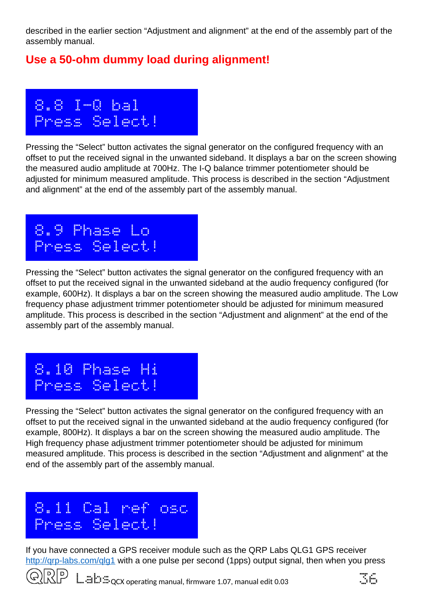described in the earlier section "Adjustment and alignment" at the end of the assembly part of the assembly manual.

## **Use a 50-ohm dummy load during alignment!**



Pressing the "Select" button activates the signal generator on the configured frequency with an offset to put the received signal in the unwanted sideband. It displays a bar on the screen showing the measured audio amplitude at 700Hz. The I-Q balance trimmer potentiometer should be adjusted for minimum measured amplitude. This process is described in the section "Adjustment and alignment" at the end of the assembly part of the assembly manual.



Pressing the "Select" button activates the signal generator on the configured frequency with an offset to put the received signal in the unwanted sideband at the audio frequency configured (for example, 600Hz). It displays a bar on the screen showing the measured audio amplitude. The Low frequency phase adjustment trimmer potentiometer should be adjusted for minimum measured amplitude. This process is described in the section "Adjustment and alignment" at the end of the assembly part of the assembly manual.



Pressing the "Select" button activates the signal generator on the configured frequency with an offset to put the received signal in the unwanted sideband at the audio frequency configured (for example, 800Hz). It displays a bar on the screen showing the measured audio amplitude. The High frequency phase adjustment trimmer potentiometer should be adjusted for minimum measured amplitude. This process is described in the section "Adjustment and alignment" at the end of the assembly part of the assembly manual.



If you have connected a GPS receiver module such as the QRP Labs QLG1 GPS receiver http://grp-labs.com/glg1 with a one pulse per second (1pps) output signal, then when you press



 $\Box \equiv \Box \Box$   $_{\rm QCX}$  operating manual, firmware 1.07, manual edit 0.03  $\Box$   $_{\rm QCX}$ 

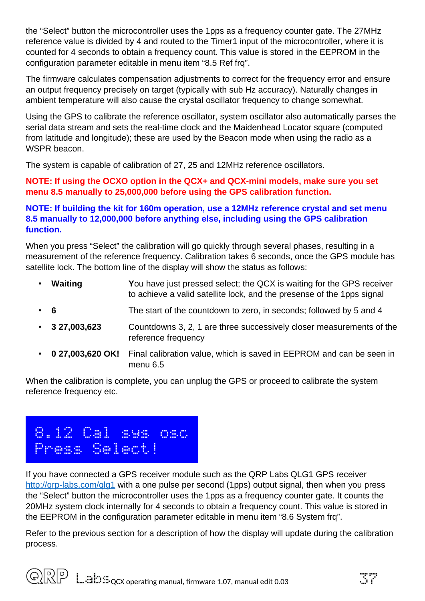the "Select" button the microcontroller uses the 1pps as a frequency counter gate. The 27MHz reference value is divided by 4 and routed to the Timer1 input of the microcontroller, where it is counted for 4 seconds to obtain a frequency count. This value is stored in the EEPROM in the configuration parameter editable in menu item "8.5 Ref frq".

The firmware calculates compensation adjustments to correct for the frequency error and ensure an output frequency precisely on target (typically with sub Hz accuracy). Naturally changes in ambient temperature will also cause the crystal oscillator frequency to change somewhat.

Using the GPS to calibrate the reference oscillator, system oscillator also automatically parses the serial data stream and sets the real-time clock and the Maidenhead Locator square (computed from latitude and longitude); these are used by the Beacon mode when using the radio as a WSPR beacon.

The system is capable of calibration of 27, 25 and 12MHz reference oscillators.

#### **NOTE: If using the OCXO option in the QCX+ and QCX-mini models, make sure you set menu 8.5 manually to 25,000,000 before using the GPS calibration function.**

#### **NOTE: If building the kit for 160m operation, use a 12MHz reference crystal and set menu 8.5 manually to 12,000,000 before anything else, including using the GPS calibration function.**

When you press "Select" the calibration will go quickly through several phases, resulting in a measurement of the reference frequency. Calibration takes 6 seconds, once the GPS module has satellite lock. The bottom line of the display will show the status as follows:

- **Waiting Y**ou have just pressed select; the QCX is waiting for the GPS receiver to achieve a valid satellite lock, and the presense of the 1pps signal • **6** The start of the countdown to zero, in seconds; followed by 5 and 4 • **3 27,003,623** Countdowns 3, 2, 1 are three successively closer measurements of the reference frequency • **0 27,003,620 OK!** Final calibration value, which is saved in EEPROM and can be seen in
- menu 6.5 When the calibration is complete, you can unplug the GPS or proceed to calibrate the system

reference frequency etc.



If you have connected a GPS receiver module such as the QRP Labs QLG1 GPS receiver http://grp-labs.com/glg1 with a one pulse per second (1pps) output signal, then when you press the "Select" button the microcontroller uses the 1pps as a frequency counter gate. It counts the 20MHz system clock internally for 4 seconds to obtain a frequency count. This value is stored in the EEPROM in the configuration parameter editable in menu item "8.6 System frq".

Refer to the previous section for a description of how the display will update during the calibration process.

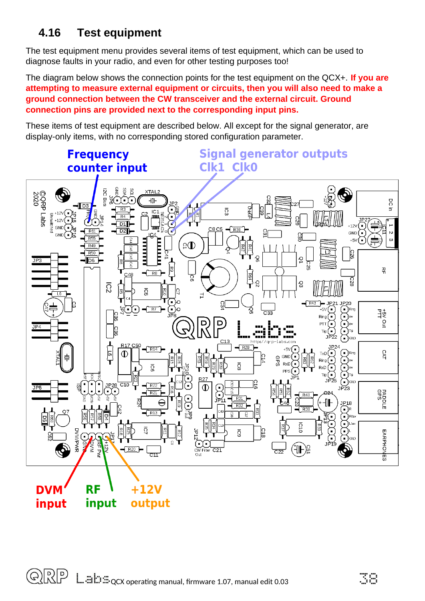## <span id="page-37-0"></span>**4.16 Test equipment**

The test equipment menu provides several items of test equipment, which can be used to diagnose faults in your radio, and even for other testing purposes too!

The diagram below shows the connection points for the test equipment on the QCX+. **If you are attempting to measure external equipment or circuits, then you will also need to make a ground connection between the CW transceiver and the external circuit. Ground connection pins are provided next to the corresponding input pins.** 

These items of test equipment are described below. All except for the signal generator, are display-only items, with no corresponding stored configuration parameter.

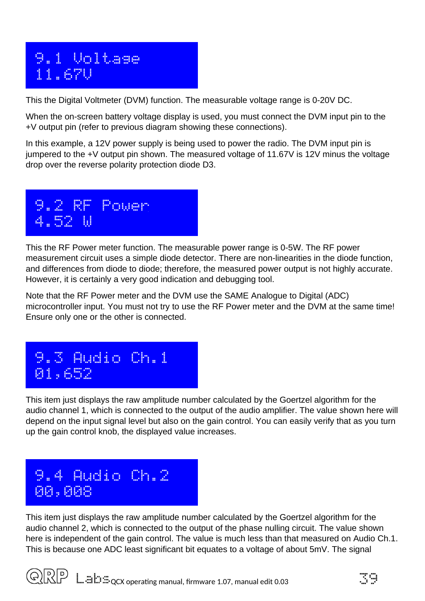## 9.1 Voltage 11.67V

This the Digital Voltmeter (DVM) function. The measurable voltage range is 0-20V DC.

When the on-screen battery voltage display is used, you must connect the DVM input pin to the +V output pin (refer to previous diagram showing these connections).

In this example, a 12V power supply is being used to power the radio. The DVM input pin is jumpered to the +V output pin shown. The measured voltage of 11.67V is 12V minus the voltage drop over the reverse polarity protection diode D3.



This the RF Power meter function. The measurable power range is 0-5W. The RF power measurement circuit uses a simple diode detector. There are non-linearities in the diode function, and differences from diode to diode; therefore, the measured power output is not highly accurate. However, it is certainly a very good indication and debugging tool.

Note that the RF Power meter and the DVM use the SAME Analogue to Digital (ADC) microcontroller input. You must not try to use the RF Power meter and the DVM at the same time! Ensure only one or the other is connected.



This item just displays the raw amplitude number calculated by the Goertzel algorithm for the audio channel 1, which is connected to the output of the audio amplifier. The value shown here will depend on the input signal level but also on the gain control. You can easily verify that as you turn up the gain control knob, the displayed value increases.

## 9.4 Audio Ch.2 00,008

This item just displays the raw amplitude number calculated by the Goertzel algorithm for the audio channel 2, which is connected to the output of the phase nulling circuit. The value shown here is independent of the gain control. The value is much less than that measured on Audio Ch.1. This is because one ADC least significant bit equates to a voltage of about 5mV. The signal

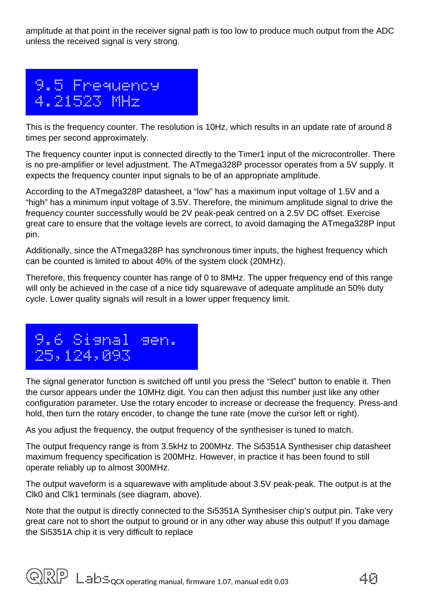amplitude at that point in the receiver signal path is too low to produce much output from the ADC unless the received signal is very strong.



This is the frequency counter. The resolution is 10Hz, which results in an update rate of around 8 times per second approximately.

The frequency counter input is connected directly to the Timer1 input of the microcontroller. There is no pre-amplifier or level adjustment. The ATmega328P processor operates from a 5V supply. It expects the frequency counter input signals to be of an appropriate amplitude.

According to the ATmega328P datasheet, a "low" has a maximum input voltage of 1.5V and a "high" has a minimum input voltage of 3.5V. Therefore, the minimum amplitude signal to drive the frequency counter successfully would be 2V peak-peak centred on a 2.5V DC offset. Exercise great care to ensure that the voltage levels are correct, to avoid damaging the ATmega328P input pin.

Additionally, since the ATmega328P has synchronous timer inputs, the highest frequency which can be counted is limited to about 40% of the system clock (20MHz).

Therefore, this frequency counter has range of 0 to 8MHz. The upper frequency end of this range will only be achieved in the case of a nice tidy squarewave of adequate amplitude an 50% duty cycle. Lower quality signals will result in a lower upper frequency limit.



The signal generator function is switched off until you press the "Select" button to enable it. Then the cursor appears under the 10MHz digit. You can then adjust this number just like any other configuration parameter. Use the rotary encoder to increase or decrease the frequency. Press-and hold, then turn the rotary encoder, to change the tune rate (move the cursor left or right).

As you adjust the frequency, the output frequency of the synthesiser is tuned to match.

The output frequency range is from 3.5kHz to 200MHz. The Si5351A Synthesiser chip datasheet maximum frequency specification is 200MHz. However, in practice it has been found to still operate reliably up to almost 300MHz.

The output waveform is a squarewave with amplitude about 3.5V peak-peak. The output is at the Clk0 and Clk1 terminals (see diagram, above).

Note that the output is directly connected to the Si5351A Synthesiser chip's output pin. Take very great care not to short the output to ground or in any other way abuse this output! If you damage the Si5351A chip it is very difficult to replace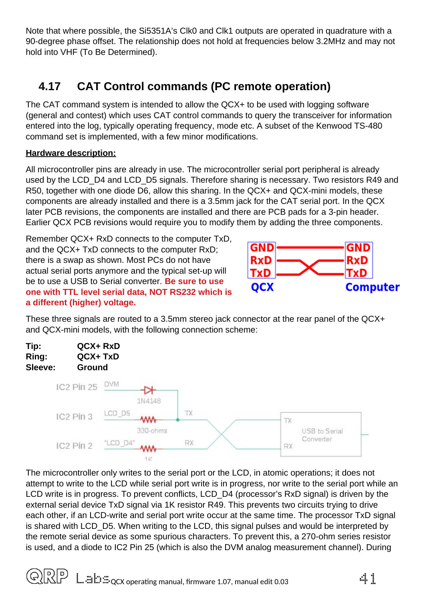Note that where possible, the Si5351A's Clk0 and Clk1 outputs are operated in quadrature with a 90-degree phase offset. The relationship does not hold at frequencies below 3.2MHz and may not hold into VHF (To Be Determined).

## <span id="page-40-0"></span>**4.17 CAT Control commands (PC remote operation)**

The CAT command system is intended to allow the QCX+ to be used with logging software (general and contest) which uses CAT control commands to query the transceiver for information entered into the log, typically operating frequency, mode etc. A subset of the Kenwood TS-480 command set is implemented, with a few minor modifications.

#### **Hardware description:**

All microcontroller pins are already in use. The microcontroller serial port peripheral is already used by the LCD\_D4 and LCD\_D5 signals. Therefore sharing is necessary. Two resistors R49 and R50, together with one diode D6, allow this sharing. In the QCX+ and QCX-mini models, these components are already installed and there is a 3.5mm jack for the CAT serial port. In the QCX later PCB revisions, the components are installed and there are PCB pads for a 3-pin header. Earlier QCX PCB revisions would require you to modify them by adding the three components.

Remember QCX+ RxD connects to the computer TxD, and the QCX+ TxD connects to the computer RxD; there is a swap as shown. Most PCs do not have actual serial ports anymore and the typical set-up will be to use a USB to Serial converter. **Be sure to use one with TTL level serial data, NOT RS232 which is a different (higher) voltage.** 



These three signals are routed to a 3.5mm stereo jack connector at the rear panel of the QCX+ and QCX-mini models, with the following connection scheme:



The microcontroller only writes to the serial port or the LCD, in atomic operations; it does not attempt to write to the LCD while serial port write is in progress, nor write to the serial port while an LCD write is in progress. To prevent conflicts, LCD D4 (processor's RxD signal) is driven by the external serial device TxD signal via 1K resistor R49. This prevents two circuits trying to drive each other, if an LCD-write and serial port write occur at the same time. The processor TxD signal is shared with LCD D5. When writing to the LCD, this signal pulses and would be interpreted by the remote serial device as some spurious characters. To prevent this, a 270-ohm series resistor is used, and a diode to IC2 Pin 25 (which is also the DVM analog measurement channel). During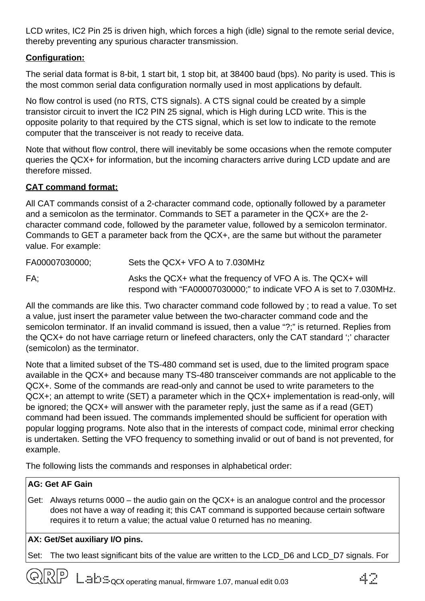LCD writes, IC2 Pin 25 is driven high, which forces a high (idle) signal to the remote serial device, thereby preventing any spurious character transmission.

#### **Configuration:**

The serial data format is 8-bit, 1 start bit, 1 stop bit, at 38400 baud (bps). No parity is used. This is the most common serial data configuration normally used in most applications by default.

No flow control is used (no RTS, CTS signals). A CTS signal could be created by a simple transistor circuit to invert the IC2 PIN 25 signal, which is High during LCD write. This is the opposite polarity to that required by the CTS signal, which is set low to indicate to the remote computer that the transceiver is not ready to receive data.

Note that without flow control, there will inevitably be some occasions when the remote computer queries the QCX+ for information, but the incoming characters arrive during LCD update and are therefore missed.

#### **CAT command format:**

All CAT commands consist of a 2-character command code, optionally followed by a parameter and a semicolon as the terminator. Commands to SET a parameter in the QCX+ are the 2 character command code, followed by the parameter value, followed by a semicolon terminator. Commands to GET a parameter back from the QCX+, are the same but without the parameter value. For example:

FA00007030000; Sets the QCX+ VFO A to 7.030MHz

FA; Asks the OCX+ what the frequency of VFO A is. The OCX+ will respond with "FA00007030000;" to indicate VFO A is set to 7.030MHz.

All the commands are like this. Two character command code followed by ; to read a value. To set a value, just insert the parameter value between the two-character command code and the semicolon terminator. If an invalid command is issued, then a value "?;" is returned. Replies from the QCX+ do not have carriage return or linefeed characters, only the CAT standard ';' character (semicolon) as the terminator.

Note that a limited subset of the TS-480 command set is used, due to the limited program space available in the QCX+ and because many TS-480 transceiver commands are not applicable to the QCX+. Some of the commands are read-only and cannot be used to write parameters to the QCX+; an attempt to write (SET) a parameter which in the QCX+ implementation is read-only, will be ignored; the QCX+ will answer with the parameter reply, just the same as if a read (GET) command had been issued. The commands implemented should be sufficient for operation with popular logging programs. Note also that in the interests of compact code, minimal error checking is undertaken. Setting the VFO frequency to something invalid or out of band is not prevented, for example.

The following lists the commands and responses in alphabetical order:

#### **AG: Get AF Gain**

Get: Always returns 0000 – the audio gain on the QCX+ is an analogue control and the processor does not have a way of reading it; this CAT command is supported because certain software requires it to return a value; the actual value 0 returned has no meaning.

#### **AX: Get/Set auxiliary I/O pins.**

Set: The two least significant bits of the value are written to the LCD\_D6 and LCD\_D7 signals. For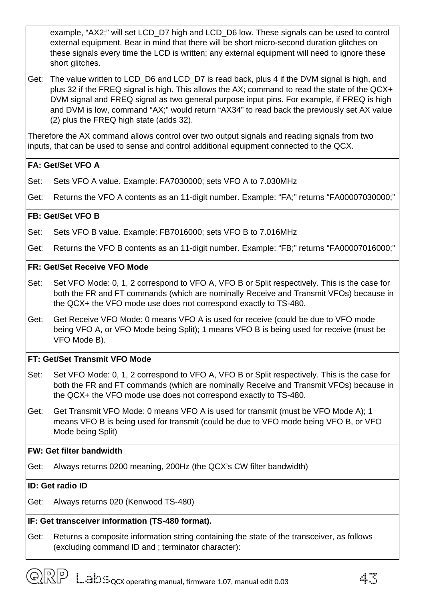example, "AX2;" will set LCD\_D7 high and LCD\_D6 low. These signals can be used to control external equipment. Bear in mind that there will be short micro-second duration glitches on these signals every time the LCD is written; any external equipment will need to ignore these short glitches.

Get: The value written to LCD\_D6 and LCD\_D7 is read back, plus 4 if the DVM signal is high, and plus 32 if the FREQ signal is high. This allows the AX; command to read the state of the QCX+ DVM signal and FREO signal as two general purpose input pins. For example, if FREO is high and DVM is low, command "AX;" would return "AX34" to read back the previously set AX value (2) plus the FREQ high state (adds 32).

Therefore the AX command allows control over two output signals and reading signals from two inputs, that can be used to sense and control additional equipment connected to the QCX.

#### **FA: Get/Set VFO A**

- Set: Sets VFO A value. Example: FA7030000; sets VFO A to 7.030MHz
- Get: Returns the VFO A contents as an 11-digit number. Example: "FA;" returns "FA00007030000;"

#### **FB: Get/Set VFO B**

- Set: Sets VFO B value. Example: FB7016000; sets VFO B to 7.016MHz
- Get: Returns the VFO B contents as an 11-digit number. Example: "FB;" returns "FA00007016000;"

#### **FR: Get/Set Receive VFO Mode**

- Set: Set VFO Mode: 0, 1, 2 correspond to VFO A, VFO B or Split respectively. This is the case for both the FR and FT commands (which are nominally Receive and Transmit VFOs) because in the QCX+ the VFO mode use does not correspond exactly to TS-480.
- Get: Get Receive VFO Mode: 0 means VFO A is used for receive (could be due to VFO mode being VFO A, or VFO Mode being Split); 1 means VFO B is being used for receive (must be VFO Mode B).

#### **FT: Get/Set Transmit VFO Mode**

- Set: Set VFO Mode: 0, 1, 2 correspond to VFO A, VFO B or Split respectively. This is the case for both the FR and FT commands (which are nominally Receive and Transmit VFOs) because in the QCX+ the VFO mode use does not correspond exactly to TS-480.
- Get: Get Transmit VFO Mode: 0 means VFO A is used for transmit (must be VFO Mode A); 1 means VFO B is being used for transmit (could be due to VFO mode being VFO B, or VFO Mode being Split)

#### **FW: Get filter bandwidth**

Get: Always returns 0200 meaning, 200Hz (the QCX's CW filter bandwidth)

#### **ID: Get radio ID**

Get: Always returns 020 (Kenwood TS-480)

#### **IF: Get transceiver information (TS-480 format).**

Get: Returns a composite information string containing the state of the transceiver, as follows (excluding command ID and ; terminator character):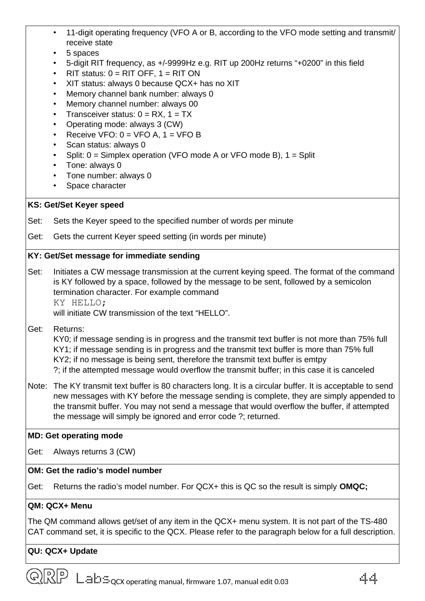- 11-digit operating frequency (VFO A or B, according to the VFO mode setting and transmit/ receive state
- 5 spaces
- 5-digit RIT frequency, as +/-9999Hz e.g. RIT up 200Hz returns "+0200" in this field
- $RIT$  status:  $0 = RIT$  OFF,  $1 = RIT$  ON
- XIT status: always 0 because QCX+ has no XIT
- Memory channel bank number: always 0
- Memory channel number: always 00
- Transceiver status:  $0 = RX$ ,  $1 = TX$
- Operating mode: always 3 (CW)
- Receive VFO:  $0 = VFO A$ ,  $1 = VFO B$
- Scan status: always 0
- Split:  $0 =$  Simplex operation (VFO mode A or VFO mode B),  $1 =$  Split
- Tone: always 0
- Tone number: always 0
- Space character

#### **KS: Get/Set Keyer speed**

- Set: Sets the Keyer speed to the specified number of words per minute
- Get: Gets the current Keyer speed setting (in words per minute)

#### **KY: Get/Set message for immediate sending**

Set: Initiates a CW message transmission at the current keying speed. The format of the command is KY followed by a space, followed by the message to be sent, followed by a semicolon termination character. For example command KY HELLO;

will initiate CW transmission of the text "HELLO".

Get: Returns:

KY0; if message sending is in progress and the transmit text buffer is not more than 75% full KY1; if message sending is in progress and the transmit text buffer is more than 75% full KY2; if no message is being sent, therefore the transmit text buffer is emtpy ?; if the attempted message would overflow the transmit buffer; in this case it is canceled

Note: The KY transmit text buffer is 80 characters long. It is a circular buffer. It is acceptable to send new messages with KY before the message sending is complete, they are simply appended to the transmit buffer. You may not send a message that would overflow the buffer, if attempted the message will simply be ignored and error code ?; returned.

#### **MD: Get operating mode**

Get: Always returns 3 (CW)

#### **OM: Get the radio's model number**

Get: Returns the radio's model number. For QCX+ this is QC so the result is simply **OMQC;**

#### **QM: QCX+ Menu**

The QM command allows get/set of any item in the QCX+ menu system. It is not part of the TS-480 CAT command set, it is specific to the QCX. Please refer to the paragraph below for a full description.

#### **QU: QCX+ Update**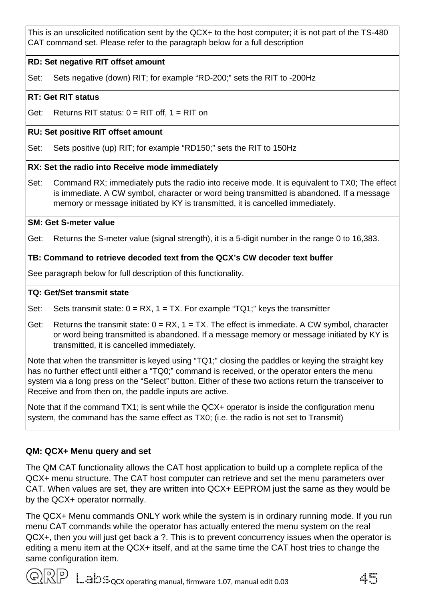This is an unsolicited notification sent by the QCX+ to the host computer; it is not part of the TS-480 CAT command set. Please refer to the paragraph below for a full description

#### **RD: Set negative RIT offset amount**

Set: Sets negative (down) RIT; for example "RD-200;" sets the RIT to -200Hz

#### **RT: Get RIT status**

Get: Returns RIT status:  $0 = RIT$  off,  $1 = RIT$  on

#### **RU: Set positive RIT offset amount**

Set: Sets positive (up) RIT; for example "RD150;" sets the RIT to 150Hz

#### **RX: Set the radio into Receive mode immediately**

Set: Command RX; immediately puts the radio into receive mode. It is equivalent to TX0; The effect is immediate. A CW symbol, character or word being transmitted is abandoned. If a message memory or message initiated by KY is transmitted, it is cancelled immediately.

#### **SM: Get S-meter value**

Get: Returns the S-meter value (signal strength), it is a 5-digit number in the range 0 to 16,383.

#### **TB: Command to retrieve decoded text from the QCX's CW decoder text buffer**

See paragraph below for full description of this functionality.

#### **TQ: Get/Set transmit state**

- Set: Sets transmit state:  $0 = RX$ ,  $1 = TX$ . For example "TQ1;" keys the transmitter
- Get: Returns the transmit state:  $0 = RX$ ,  $1 = TX$ . The effect is immediate. A CW symbol, character or word being transmitted is abandoned. If a message memory or message initiated by KY is transmitted, it is cancelled immediately.

Note that when the transmitter is keyed using "TQ1;" closing the paddles or keying the straight key has no further effect until either a "TQ0;" command is received, or the operator enters the menu system via a long press on the "Select" button. Either of these two actions return the transceiver to Receive and from then on, the paddle inputs are active.

Note that if the command TX1; is sent while the QCX+ operator is inside the configuration menu system, the command has the same effect as TX0; (i.e. the radio is not set to Transmit)

#### **QM: QCX+ Menu query and set**

The QM CAT functionality allows the CAT host application to build up a complete replica of the QCX+ menu structure. The CAT host computer can retrieve and set the menu parameters over CAT. When values are set, they are written into QCX+ EEPROM just the same as they would be by the QCX+ operator normally.

The QCX+ Menu commands ONLY work while the system is in ordinary running mode. If you run menu CAT commands while the operator has actually entered the menu system on the real QCX+, then you will just get back a ?. This is to prevent concurrency issues when the operator is editing a menu item at the QCX+ itself, and at the same time the CAT host tries to change the same configuration item.

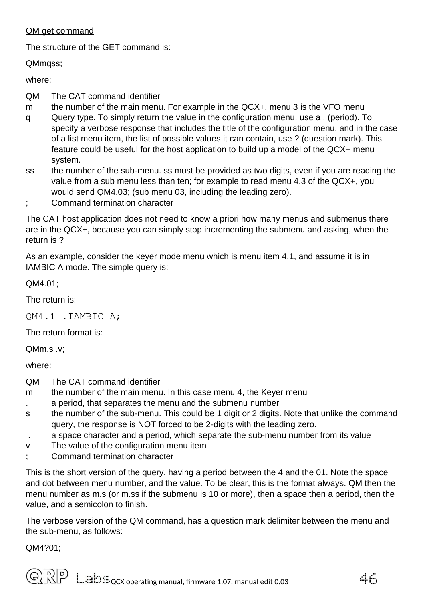#### QM get command

The structure of the GET command is:

QMmqss;

where:

- QM The CAT command identifier
- m the number of the main menu. For example in the OCX+, menu 3 is the VFO menu
- q Query type. To simply return the value in the configuration menu, use a . (period). To specify a verbose response that includes the title of the configuration menu, and in the case of a list menu item, the list of possible values it can contain, use ? (question mark). This feature could be useful for the host application to build up a model of the QCX+ menu system.
- ss the number of the sub-menu. ss must be provided as two digits, even if you are reading the value from a sub menu less than ten; for example to read menu 4.3 of the QCX+, you would send QM4.03; (sub menu 03, including the leading zero).
- ; Command termination character

The CAT host application does not need to know a priori how many menus and submenus there are in the QCX+, because you can simply stop incrementing the submenu and asking, when the return is ?

As an example, consider the keyer mode menu which is menu item 4.1, and assume it is in IAMBIC A mode. The simple query is:

QM4.01;

The return is:

QM4.1 .IAMBIC A;

The return format is:

QMm.s .v;

where:

- QM The CAT command identifier
- m the number of the main menu. In this case menu 4, the Keyer menu
- . a period, that separates the menu and the submenu number
- s the number of the sub-menu. This could be 1 digit or 2 digits. Note that unlike the command query, the response is NOT forced to be 2-digits with the leading zero.
- . a space character and a period, which separate the sub-menu number from its value
- v The value of the configuration menu item
- ; Command termination character

This is the short version of the query, having a period between the 4 and the 01. Note the space and dot between menu number, and the value. To be clear, this is the format always. QM then the menu number as m.s (or m.ss if the submenu is 10 or more), then a space then a period, then the value, and a semicolon to finish.

The verbose version of the QM command, has a question mark delimiter between the menu and the sub-menu, as follows:

QM4?01;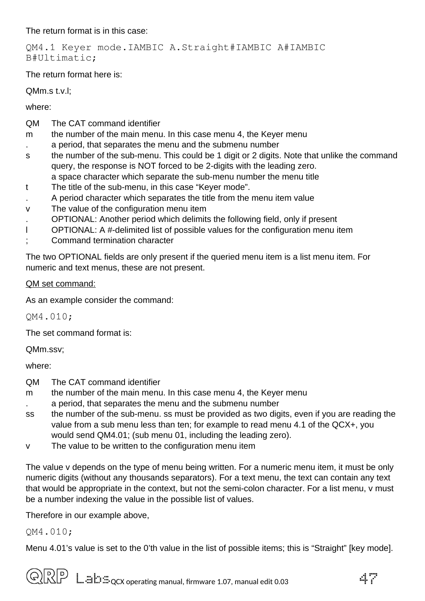The return format is in this case:

QM4.1 Keyer mode.IAMBIC A.Straight#IAMBIC A#IAMBIC B#Ultimatic;

The return format here is:

QMm.s t.v.l;

where:

- QM The CAT command identifier
- m the number of the main menu. In this case menu 4, the Keyer menu
- . a period, that separates the menu and the submenu number
- s the number of the sub-menu. This could be 1 digit or 2 digits. Note that unlike the command query, the response is NOT forced to be 2-digits with the leading zero. a space character which separate the sub-menu number the menu title
- t The title of the sub-menu, in this case "Keyer mode".
- . A period character which separates the title from the menu item value
- v The value of the configuration menu item
- . OPTIONAL: Another period which delimits the following field, only if present
- l OPTIONAL: A #-delimited list of possible values for the configuration menu item
- ; Command termination character

The two OPTIONAL fields are only present if the queried menu item is a list menu item. For numeric and text menus, these are not present.

#### QM set command:

As an example consider the command:

QM4.010;

The set command format is:

QMm.ssv;

where:

- QM The CAT command identifier
- m the number of the main menu. In this case menu 4, the Keyer menu
- . a period, that separates the menu and the submenu number
- ss the number of the sub-menu. ss must be provided as two digits, even if you are reading the value from a sub menu less than ten; for example to read menu 4.1 of the QCX+, you would send QM4.01; (sub menu 01, including the leading zero).
- v The value to be written to the configuration menu item

The value v depends on the type of menu being written. For a numeric menu item, it must be only numeric digits (without any thousands separators). For a text menu, the text can contain any text that would be appropriate in the context, but not the semi-colon character. For a list menu, v must be a number indexing the value in the possible list of values.

Therefore in our example above,

QM4.010;

Menu 4.01's value is set to the 0'th value in the list of possible items; this is "Straight" [key mode].

 $\widehat{\text{Q}}$   $\widehat{\text{R}}$   $\widehat{P}$   $\stackrel{m}{=}$   $\widehat{\text{E}}$   $\widehat{\text{C}}$   $\text{C}$  operating manual, firmware 1.07, manual edit 0.03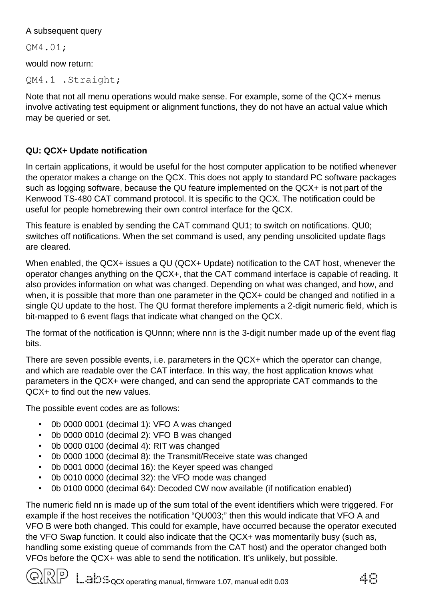#### A subsequent query

QM4.01;

would now return:

QM4.1 .Straight;

Note that not all menu operations would make sense. For example, some of the QCX+ menus involve activating test equipment or alignment functions, they do not have an actual value which may be queried or set.

#### **QU: QCX+ Update notification**

In certain applications, it would be useful for the host computer application to be notified whenever the operator makes a change on the QCX. This does not apply to standard PC software packages such as logging software, because the QU feature implemented on the QCX+ is not part of the Kenwood TS-480 CAT command protocol. It is specific to the QCX. The notification could be useful for people homebrewing their own control interface for the QCX.

This feature is enabled by sending the CAT command QU1; to switch on notifications. QU0; switches off notifications. When the set command is used, any pending unsolicited update flags are cleared.

When enabled, the QCX+ issues a QU (QCX+ Update) notification to the CAT host, whenever the operator changes anything on the QCX+, that the CAT command interface is capable of reading. It also provides information on what was changed. Depending on what was changed, and how, and when, it is possible that more than one parameter in the OCX+ could be changed and notified in a single QU update to the host. The QU format therefore implements a 2-digit numeric field, which is bit-mapped to 6 event flags that indicate what changed on the QCX.

The format of the notification is QUnnn; where nnn is the 3-digit number made up of the event flag bits.

There are seven possible events, i.e. parameters in the QCX+ which the operator can change, and which are readable over the CAT interface. In this way, the host application knows what parameters in the QCX+ were changed, and can send the appropriate CAT commands to the QCX+ to find out the new values.

The possible event codes are as follows:

- 0b 0000 0001 (decimal 1): VFO A was changed
- 0b 0000 0010 (decimal 2): VFO B was changed
- 0b 0000 0100 (decimal 4): RIT was changed
- 0b 0000 1000 (decimal 8): the Transmit/Receive state was changed
- 0b 0001 0000 (decimal 16): the Keyer speed was changed
- 0b 0010 0000 (decimal 32): the VFO mode was changed
- 0b 0100 0000 (decimal 64): Decoded CW now available (if notification enabled)

The numeric field nn is made up of the sum total of the event identifiers which were triggered. For example if the host receives the notification "QU003;" then this would indicate that VFO A and VFO B were both changed. This could for example, have occurred because the operator executed the VFO Swap function. It could also indicate that the QCX+ was momentarily busy (such as, handling some existing queue of commands from the CAT host) and the operator changed both VFOs before the QCX+ was able to send the notification. It's unlikely, but possible.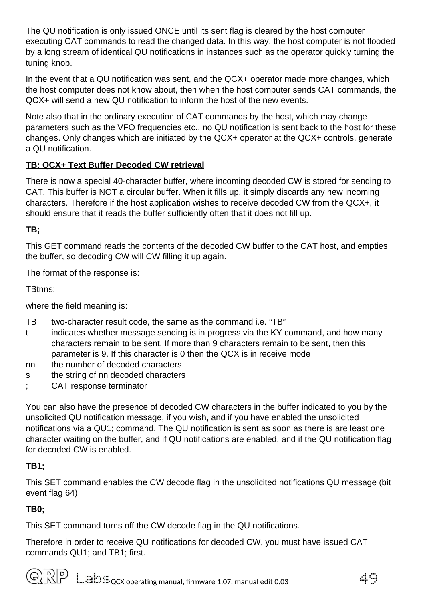The QU notification is only issued ONCE until its sent flag is cleared by the host computer executing CAT commands to read the changed data. In this way, the host computer is not flooded by a long stream of identical QU notifications in instances such as the operator quickly turning the tuning knob.

In the event that a QU notification was sent, and the QCX+ operator made more changes, which the host computer does not know about, then when the host computer sends CAT commands, the QCX+ will send a new QU notification to inform the host of the new events.

Note also that in the ordinary execution of CAT commands by the host, which may change parameters such as the VFO frequencies etc., no QU notification is sent back to the host for these changes. Only changes which are initiated by the QCX+ operator at the QCX+ controls, generate a QU notification.

#### **TB: QCX+ Text Buffer Decoded CW retrieval**

There is now a special 40-character buffer, where incoming decoded CW is stored for sending to CAT. This buffer is NOT a circular buffer. When it fills up, it simply discards any new incoming characters. Therefore if the host application wishes to receive decoded CW from the QCX+, it should ensure that it reads the buffer sufficiently often that it does not fill up.

#### **TB;**

This GET command reads the contents of the decoded CW buffer to the CAT host, and empties the buffer, so decoding CW will CW filling it up again.

The format of the response is:

TBtnns;

where the field meaning is:

- TB two-character result code, the same as the command i.e. "TB"
- t indicates whether message sending is in progress via the KY command, and how many characters remain to be sent. If more than 9 characters remain to be sent, then this parameter is 9. If this character is 0 then the QCX is in receive mode
- nn the number of decoded characters
- s the string of nn decoded characters
- CAT response terminator

You can also have the presence of decoded CW characters in the buffer indicated to you by the unsolicited QU notification message, if you wish, and if you have enabled the unsolicited notifications via a QU1; command. The QU notification is sent as soon as there is are least one character waiting on the buffer, and if QU notifications are enabled, and if the QU notification flag for decoded CW is enabled.

#### **TB1;**

This SET command enables the CW decode flag in the unsolicited notifications QU message (bit event flag 64)

#### **TB0;**

This SET command turns off the CW decode flag in the QU notifications.

Therefore in order to receive QU notifications for decoded CW, you must have issued CAT commands QU1; and TB1; first.

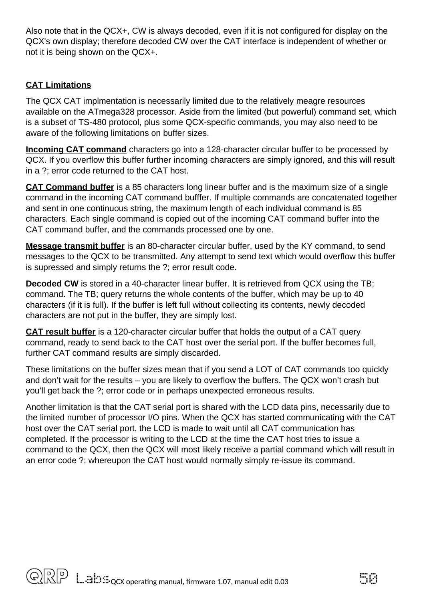Also note that in the QCX+, CW is always decoded, even if it is not configured for display on the QCX's own display; therefore decoded CW over the CAT interface is independent of whether or not it is being shown on the QCX+.

#### **CAT Limitations**

The QCX CAT implmentation is necessarily limited due to the relatively meagre resources available on the ATmega328 processor. Aside from the limited (but powerful) command set, which is a subset of TS-480 protocol, plus some QCX-specific commands, you may also need to be aware of the following limitations on buffer sizes.

**Incoming CAT command** characters go into a 128-character circular buffer to be processed by QCX. If you overflow this buffer further incoming characters are simply ignored, and this will result in a ?; error code returned to the CAT host.

**CAT Command buffer** is a 85 characters long linear buffer and is the maximum size of a single command in the incoming CAT command bufffer. If multiple commands are concatenated together and sent in one continuous string, the maximum length of each individual command is 85 characters. Each single command is copied out of the incoming CAT command buffer into the CAT command buffer, and the commands processed one by one.

**Message transmit buffer** is an 80-character circular buffer, used by the KY command, to send messages to the QCX to be transmitted. Any attempt to send text which would overflow this buffer is supressed and simply returns the ?; error result code.

**Decoded CW** is stored in a 40-character linear buffer. It is retrieved from QCX using the TB; command. The TB; query returns the whole contents of the buffer, which may be up to 40 characters (if it is full). If the buffer is left full without collecting its contents, newly decoded characters are not put in the buffer, they are simply lost.

**CAT result buffer** is a 120-character circular buffer that holds the output of a CAT query command, ready to send back to the CAT host over the serial port. If the buffer becomes full, further CAT command results are simply discarded.

These limitations on the buffer sizes mean that if you send a LOT of CAT commands too quickly and don't wait for the results – you are likely to overflow the buffers. The QCX won't crash but you'll get back the ?; error code or in perhaps unexpected erroneous results.

Another limitation is that the CAT serial port is shared with the LCD data pins, necessarily due to the limited number of processor I/O pins. When the QCX has started communicating with the CAT host over the CAT serial port, the LCD is made to wait until all CAT communication has completed. If the processor is writing to the LCD at the time the CAT host tries to issue a command to the QCX, then the QCX will most likely receive a partial command which will result in an error code ?; whereupon the CAT host would normally simply re-issue its command.

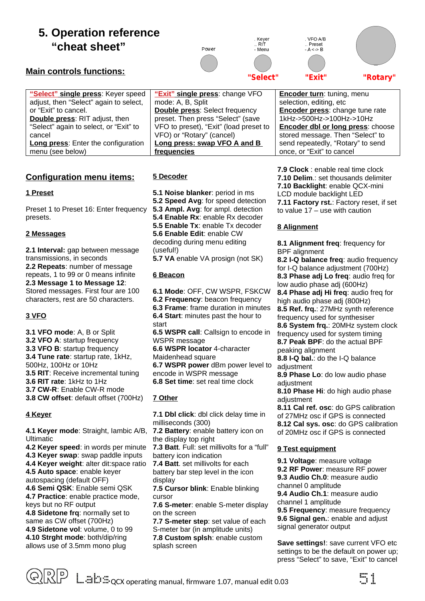## <span id="page-50-0"></span>**5. Operation reference "cheat sheet"**

#### **Main controls functions:**

Power

Kever ...<br>Rit

- Menu

'Select"

VEO A/B Preset  $A \leq B$ 

'Exit"

"Rotary"

| "Select" single press: Keyer speed         | "Exit" single press: change VFO        | <b>Encoder turn:</b> tuning, menu      |
|--------------------------------------------|----------------------------------------|----------------------------------------|
|                                            |                                        |                                        |
| adjust, then "Select" again to select,     | mode: A, B, Split                      | selection, editing, etc                |
| or "Exit" to cancel.                       | <b>Double press: Select frequency</b>  | <b>Encoder press:</b> change tune rate |
| <b>Double press: RIT adjust, then</b>      | preset. Then press "Select" (save      | 1kHz->500Hz->100Hz->10Hz               |
| "Select" again to select, or "Exit" to     | VFO to preset), "Exit" (load preset to | Encoder dbl or long press: choose      |
| cancel                                     | VFO) or "Rotary" (cancel)              | stored message. Then "Select" to       |
| <b>Long press:</b> Enter the configuration | Long press: swap VFO A and B           | send repeatedly, "Rotary" to send      |
| menu (see below)                           | frequencies                            | once, or "Exit" to cancel              |

#### **Configuration menu items:**

#### **1 Preset**

Preset 1 to Preset 16: Enter frequency presets.

#### **2 Messages**

**2.1 Interval:** gap between message transmissions, in seconds **2.2 Repeats**: number of message repeats, 1 to 99 or 0 means infinite **2.3 Message 1 to Message 12**: Stored messages. First four are 100 characters, rest are 50 characters.

#### **3 VFO**

**3.1 VFO mode**: A, B or Split **3.2 VFO A**: startup frequency **3.3 VFO B**: startup frequency **3.4 Tune rate**: startup rate, 1kHz, 500Hz, 100Hz or 10Hz **3.5 RIT**: Receive incremental tuning **3.6 RIT rate**: 1kHz to 1Hz **3.7 CW-R**: Enable CW-R mode **3.8 CW offset**: default offset (700Hz)

#### **4 Keyer**

**4.1 Keyer mode**: Straight, Iambic A/B, Ultimatic

**4.2 Keyer speed**: in words per minute **4.3 Keyer swap**: swap paddle inputs **4.4 Keyer weight**: alter dit:space ratio **4.5 Auto space**: enable keyer autospacing (default OFF) **4.6 Semi QSK**: Enable semi QSK **4.7 Practice**: enable practice mode, keys but no RF output **4.8 Sidetone frq**: normally set to same as CW offset (700Hz) **4.9 Sidetone vol**: volume, 0 to 99 **4.10 Strght mode**: both/dip/ring allows use of 3.5mm mono plug

**5 Decoder**

**5.1 Noise blanker**: period in ms **5.2 Speed Avg**: for speed detection **5.3 Ampl. Avg**: for ampl. detection **5.4 Enable Rx**: enable Rx decoder **5.5 Enable Tx**: enable Tx decoder **5.6 Enable Edit**: enable CW decoding during menu editing (useful!)

**5.7 VA** enable VA prosign (not SK)

#### **6 Beacon**

**6.1 Mode**: OFF, CW WSPR, FSKCW **6.2 Frequency**: beacon frequency **6.3 Frame**: frame duration in minutes **6.4 Start**: minutes past the hour to start **6.5 WSPR call**: Callsign to encode in

WSPR message **6.6 WSPR locator** 4-character Maidenhead square

**6.7 WSPR power** dBm power level to encode in WSPR message **6.8 Set time**: set real time clock

#### **7 Other**

**7.1 Dbl click**: dbl click delay time in milliseconds (300)

**7.2 Battery**: enable battery icon on the display top right

**7.3 Batt**. Full: set millivolts for a "full" battery icon indication

**7.4 Batt**. set millivolts for each battery bar step level in the icon display

**7.5 Cursor blink**: Enable blinking cursor

**7.6 S-meter**: enable S-meter display on the screen

**7.7 S-meter step**: set value of each S-meter bar (in amplitude units) **7.8 Custom splsh**: enable custom splash screen

**7.9 Clock** : enable real time clock **7.10 Delim**.: set thousands delimiter **7.10 Backlight**: enable QCX-mini LCD module backlight LED **7.11 Factory rst.**: Factory reset, if set to value 17 – use with caution

#### **8 Alignment**

**8.1 Alignment freq**: frequency for BPF alignment

**8.2 I-Q balance freq**: audio frequency for I-Q balance adjustment (700Hz) **8.3 Phase adj Lo freq**: audio freq for low audio phase adj (600Hz) **8.4 Phase adj Hi freq**: audio freq for high audio phase adj (800Hz) **8.5 Ref. frq.**: 27MHz synth reference frequency used for synthesiser **8.6 System frq.**: 20MHz system clock frequency used for system timing **8.7 Peak BPF**: do the actual BPF peaking alignment **8.8 I-Q bal.**: do the I-Q balance adiustment **8.9 Phase Lo**: do low audio phase adjustment **8.10 Phase Hi**: do high audio phase adjustment **8.11 Cal ref. osc**: do GPS calibration

of 27MHz osc if GPS is connected **8.12 Cal sys. osc**: do GPS calibration of 20MHz osc if GPS is connected

#### **9 Test equipment**

**9.1 Voltage**: measure voltage

**9.2 RF Power**: measure RF power

**9.3 Audio Ch.0**: measure audio

channel 0 amplitude

**9.4 Audio Ch.1**: measure audio channel 1 amplitude

**9.5 Frequency**: measure frequency **9.6 Signal gen.**: enable and adjust signal generator output

**Save settings!**: save current VFO etc settings to be the default on power up; press "Select" to save, "Exit" to cancel